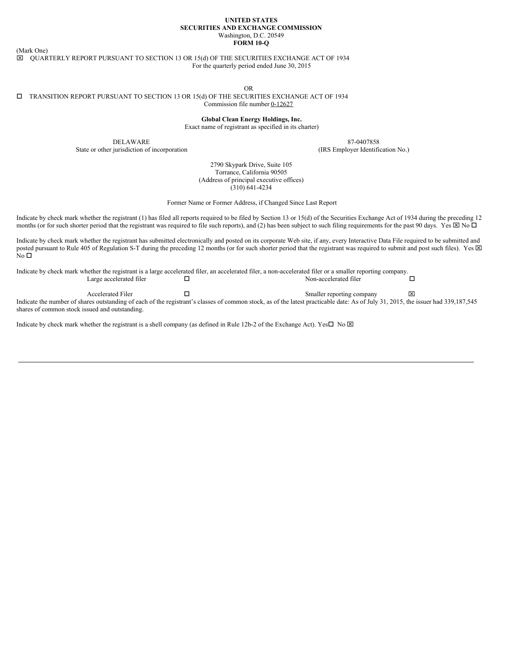#### **UNITED STATES SECURITIES AND EXCHANGE COMMISSION** Washington, D.C. 20549 **FORM 10-Q**

(Mark One)

 $\boxtimes$  QUARTERLY REPORT PURSUANT TO SECTION 13 OR 15(d) OF THE SECURITIES EXCHANGE ACT OF 1934 For the quarterly period ended June 30, 2015

OR

 $\square$  TRANSITION REPORT PURSUANT TO SECTION 13 OR 15(d) OF THE SECURITIES EXCHANGE ACT OF 1934 Commission file number 0-12627

**Global Clean Energy Holdings, Inc.**

Exact name of registrant as specified in its charter)

DELAWARE State or other jurisdiction of incorporation

87-0407858 (IRS Employer Identification No.)

2790 Skypark Drive, Suite 105 Torrance, California 90505 (Address of principal executive offices) (310) 641-4234

Former Name or Former Address, if Changed Since Last Report

Indicate by check mark whether the registrant (1) has filed all reports required to be filed by Section 13 or 15(d) of the Securities Exchange Act of 1934 during the preceding 12 months (or for such shorter period that the registrant was required to file such reports), and (2) has been subject to such filing requirements for the past 90 days. Yes  $\boxtimes$  No  $\Box$ 

Indicate by check mark whether the registrant has submitted electronically and posted on its corporate Web site, if any, every Interactive Data File required to be submitted and posted pursuant to Rule 405 of Regulation S-T during the preceding 12 months (or for such shorter period that the registrant was required to submit and post such files). Yes  $\boxtimes$ No  $\Box$ 

Indicate by check mark whether the registrant is a large accelerated filer, an accelerated filer, a non-accelerated filer or a smaller reporting company.<br>
Large accelerated filer  $\square$ Large accelerated filer  $\Box$ 

Accelerated Filer  $\square$ Indicate the number of shares outstanding of each of the registrant's classes of common stock, as of the latest practicable date: As of July 31, 2015, the issuer had 339,187,545 shares of common stock issued and outstanding.

Indicate by check mark whether the registrant is a shell company (as defined in Rule 12b-2 of the Exchange Act). Yes $\Box$  No  $\boxtimes$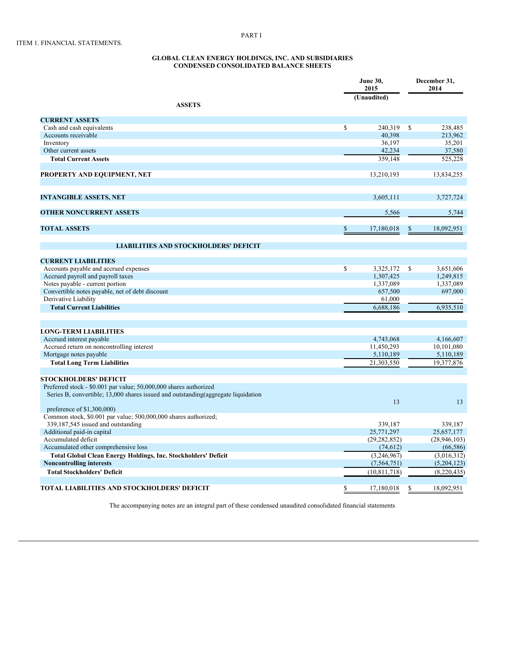#### **GLOBAL CLEAN ENERGY HOLDINGS, INC. AND SUBSIDIARIES CONDENSED CONSOLIDATED BALANCE SHEETS**

|                                                                                    |             | <b>June 30,</b><br>2015 |    | December 31,<br>2014 |  |
|------------------------------------------------------------------------------------|-------------|-------------------------|----|----------------------|--|
| <b>ASSETS</b>                                                                      |             | (Unaudited)             |    |                      |  |
|                                                                                    |             |                         |    |                      |  |
| <b>CURRENT ASSETS</b>                                                              |             |                         |    |                      |  |
| Cash and cash equivalents                                                          | $\mathbf S$ | 240,319                 | \$ | 238,485              |  |
| Accounts receivable                                                                |             | 40,398                  |    | 213,962              |  |
| Inventory                                                                          |             | 36,197                  |    | 35,201               |  |
| Other current assets                                                               |             | 42,234                  |    | 37,580               |  |
| <b>Total Current Assets</b>                                                        |             | 359.148                 |    | 525,228              |  |
| PROPERTY AND EQUIPMENT, NET                                                        |             | 13,210,193              |    | 13,834,255           |  |
|                                                                                    |             |                         |    |                      |  |
| <b>INTANGIBLE ASSETS, NET</b>                                                      |             | 3,605,111               |    | 3,727,724            |  |
| <b>OTHER NONCURRENT ASSETS</b>                                                     |             | 5,566                   |    | 5,744                |  |
|                                                                                    |             |                         |    |                      |  |
| <b>TOTAL ASSETS</b>                                                                | \$          | 17,180,018              |    | 18,092,951           |  |
| <b>LIABILITIES AND STOCKHOLDERS' DEFICIT</b>                                       |             |                         |    |                      |  |
| <b>CURRENT LIABILITIES</b>                                                         |             |                         |    |                      |  |
| Accounts payable and accrued expenses                                              | \$          | 3,325,172               | S  | 3,651,606            |  |
| Accrued payroll and payroll taxes                                                  |             | 1,307,425               |    | 1,249,815            |  |
| Notes payable - current portion                                                    |             | 1,337,089               |    | 1,337,089            |  |
| Convertible notes payable, net of debt discount                                    |             | 657,500                 |    | 697,000              |  |
| Derivative Liability                                                               |             | 61,000                  |    |                      |  |
| <b>Total Current Liabilities</b>                                                   |             | 6,688,186               |    | 6,935,510            |  |
|                                                                                    |             |                         |    |                      |  |
| <b>LONG-TERM LIABILITIES</b>                                                       |             |                         |    |                      |  |
| Accrued interest payable                                                           |             | 4,743,068               |    | 4,166,607            |  |
| Accrued return on noncontrolling interest                                          |             | 11,450,293              |    | 10,101,080           |  |
| Mortgage notes payable                                                             |             | 5,110,189               |    | 5,110,189            |  |
| <b>Total Long Term Liabilities</b>                                                 |             | 21,303,550              |    | 19,377,876           |  |
| <b>STOCKHOLDERS' DEFICIT</b>                                                       |             |                         |    |                      |  |
| Preferred stock - \$0.001 par value; 50,000,000 shares authorized                  |             |                         |    |                      |  |
| Series B, convertible; 13,000 shares issued and outstanding (aggregate liquidation |             | 13                      |    | 13                   |  |
| preference of \$1,300,000)                                                         |             |                         |    |                      |  |
| Common stock, \$0.001 par value; 500,000,000 shares authorized;                    |             |                         |    |                      |  |
| 339,187,545 issued and outstanding                                                 |             | 339,187                 |    | 339,187              |  |
| Additional paid-in capital                                                         |             | 25,771,297              |    | 25,657,177           |  |
| Accumulated deficit                                                                |             | (29, 282, 852)          |    | (28, 946, 103)       |  |
| Accumulated other comprehensive loss                                               |             | (74, 612)               |    | (66, 586)            |  |
| <b>Total Global Clean Energy Holdings, Inc. Stockholders' Deficit</b>              |             | (3,246,967)             |    | (3,016,312)          |  |
| <b>Noncontrolling interests</b>                                                    |             | (7, 564, 751)           |    | (5,204,123)          |  |
| <b>Total Stockholders' Deficit</b>                                                 |             | (10, 811, 718)          |    | (8,220,435)          |  |
|                                                                                    |             |                         |    |                      |  |
| TOTAL LIABILITIES AND STOCKHOLDERS' DEFICIT                                        | \$          | 17,180,018              | \$ | 18,092,951           |  |

The accompanying notes are an integral part of these condensed unaudited consolidated financial statements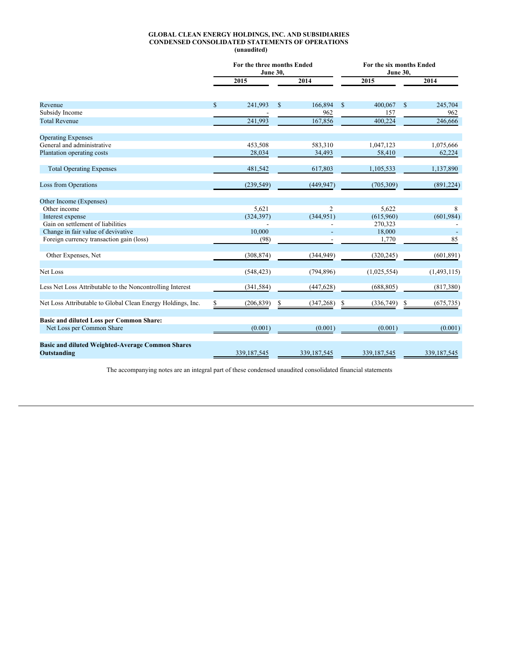#### **GLOBAL CLEAN ENERGY HOLDINGS, INC. AND SUBSIDIARIES CONDENSED CONSOLIDATED STATEMENTS OF OPERATIONS (unaudited)**

|                                                                              | For the three months Ended<br><b>June 30,</b> |             |             | For the six months Ended<br><b>June 30,</b> |               |             |               |             |
|------------------------------------------------------------------------------|-----------------------------------------------|-------------|-------------|---------------------------------------------|---------------|-------------|---------------|-------------|
|                                                                              |                                               | 2015        | 2014        |                                             | 2015          |             |               | 2014        |
| Revenue                                                                      | $\mathbf{s}$                                  | 241,993     | $\mathbf S$ | 166,894                                     | <sup>\$</sup> | 400,067     | <sup>\$</sup> | 245,704     |
| Subsidy Income                                                               |                                               |             |             | 962                                         |               | 157         |               | 962         |
| <b>Total Revenue</b>                                                         |                                               | 241,993     |             | 167,856                                     |               | 400,224     |               | 246,666     |
| <b>Operating Expenses</b>                                                    |                                               |             |             |                                             |               |             |               |             |
| General and administrative                                                   |                                               | 453,508     |             | 583,310                                     |               | 1,047,123   |               | 1,075,666   |
| Plantation operating costs                                                   |                                               | 28,034      |             | 34,493                                      |               | 58,410      |               | 62,224      |
| <b>Total Operating Expenses</b>                                              |                                               | 481,542     |             | 617,803                                     |               | 1,105,533   |               | 1,137,890   |
| Loss from Operations                                                         |                                               | (239, 549)  |             | (449, 947)                                  |               | (705, 309)  |               | (891, 224)  |
| Other Income (Expenses)                                                      |                                               |             |             |                                             |               |             |               |             |
| Other income                                                                 |                                               | 5,621       |             | $\overline{c}$                              |               | 5,622       |               | 8           |
| Interest expense                                                             |                                               | (324, 397)  |             | (344, 951)                                  |               | (615,960)   |               | (601, 984)  |
| Gain on settlement of liabilities                                            |                                               |             |             |                                             |               | 270,323     |               |             |
| Change in fair value of devivative                                           |                                               | 10.000      |             |                                             |               | 18,000      |               |             |
| Foreign currency transaction gain (loss)                                     |                                               | (98)        |             |                                             |               | 1,770       |               | 85          |
| Other Expenses, Net                                                          |                                               | (308, 874)  |             | (344, 949)                                  |               | (320, 245)  |               | (601, 891)  |
| Net Loss                                                                     |                                               | (548, 423)  |             | (794, 896)                                  |               | (1,025,554) |               | (1,493,115) |
| Less Net Loss Attributable to the Noncontrolling Interest                    |                                               | (341, 584)  |             | (447, 628)                                  |               | (688, 805)  |               | (817,380)   |
| Net Loss Attributable to Global Clean Energy Holdings, Inc.                  | \$                                            | (206, 839)  | S           | (347, 268)                                  | S             | (336,749)   |               | (675, 735)  |
|                                                                              |                                               |             |             |                                             |               |             |               |             |
| <b>Basic and diluted Loss per Common Share:</b><br>Net Loss per Common Share |                                               | (0.001)     |             | (0.001)                                     |               | (0.001)     |               | (0.001)     |
| <b>Basic and diluted Weighted-Average Common Shares</b>                      |                                               |             |             |                                             |               |             |               |             |
| <b>Outstanding</b>                                                           |                                               | 339,187,545 |             | 339,187,545                                 |               | 339,187,545 |               | 339,187,545 |

The accompanying notes are an integral part of these condensed unaudited consolidated financial statements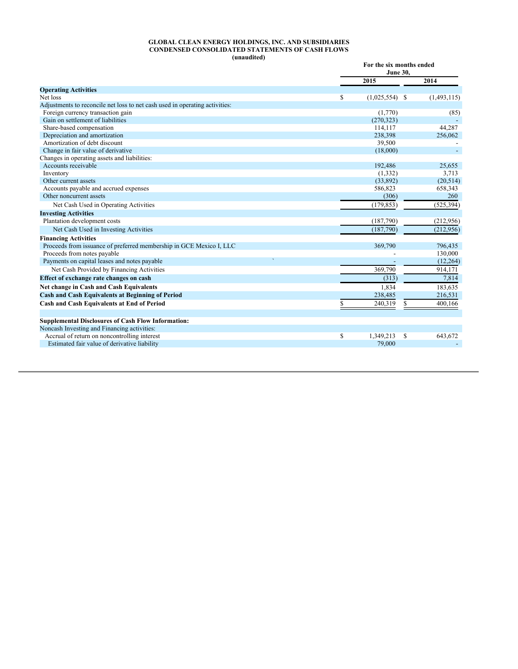#### **GLOBAL CLEAN ENERGY HOLDINGS, INC. AND SUBSIDIARIES CONDENSED CONSOLIDATED STATEMENTS OF CASH FLOWS (unaudited)**

|                                                                             | For the six months ended<br><b>June 30,</b> |             |  |
|-----------------------------------------------------------------------------|---------------------------------------------|-------------|--|
|                                                                             | 2015                                        | 2014        |  |
| <b>Operating Activities</b>                                                 |                                             |             |  |
| Net loss                                                                    | \$<br>$(1,025,554)$ \$                      | (1,493,115) |  |
| Adjustments to reconcile net loss to net cash used in operating activities: |                                             |             |  |
| Foreign currency transaction gain                                           | (1,770)                                     | (85)        |  |
| Gain on settlement of liabilities                                           | (270, 323)                                  |             |  |
| Share-based compensation                                                    | 114,117                                     | 44,287      |  |
| Depreciation and amortization                                               | 238,398                                     | 256,062     |  |
| Amortization of debt discount                                               | 39,500                                      |             |  |
| Change in fair value of derivative                                          | (18,000)                                    |             |  |
| Changes in operating assets and liabilities:                                |                                             |             |  |
| Accounts receivable                                                         | 192,486                                     | 25,655      |  |
| Inventory                                                                   | (1,332)                                     | 3,713       |  |
| Other current assets                                                        | (33,892)                                    | (20, 514)   |  |
| Accounts payable and accrued expenses                                       | 586,823                                     | 658,343     |  |
| Other noncurrent assets                                                     | (306)                                       | 260         |  |
| Net Cash Used in Operating Activities                                       | (179, 853)                                  | (525, 394)  |  |
| <b>Investing Activities</b>                                                 |                                             |             |  |
| Plantation development costs                                                | (187,790)                                   | (212, 956)  |  |
| Net Cash Used in Investing Activities                                       | (187,790)                                   | (212,956)   |  |
| <b>Financing Activities</b>                                                 |                                             |             |  |
| Proceeds from issuance of preferred membership in GCE Mexico I, LLC         | 369,790                                     | 796,435     |  |
| Proceeds from notes payable                                                 |                                             | 130,000     |  |
| Payments on capital leases and notes payable                                |                                             | (12, 264)   |  |
| Net Cash Provided by Financing Activities                                   | 369,790                                     | 914,171     |  |
| Effect of exchange rate changes on cash                                     | (313)                                       | 7,814       |  |
| Net change in Cash and Cash Equivalents                                     | 1,834                                       | 183,635     |  |
| <b>Cash and Cash Equivalents at Beginning of Period</b>                     | 238,485                                     | 216,531     |  |
| Cash and Cash Equivalents at End of Period                                  | \$<br>240,319<br>S                          | 400,166     |  |
| <b>Supplemental Disclosures of Cash Flow Information:</b>                   |                                             |             |  |
| Noncash Investing and Financing activities:                                 |                                             |             |  |
| Accrual of return on noncontrolling interest                                | \$<br>1,349,213<br>\$                       | 643,672     |  |
| Estimated fair value of derivative liability                                | 79,000                                      |             |  |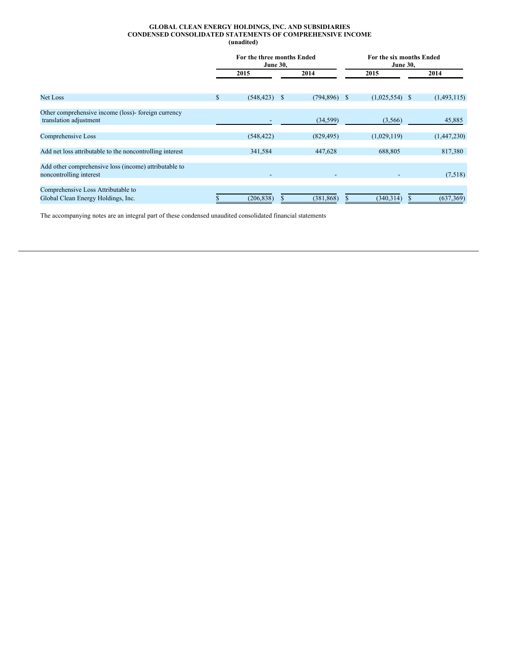#### **GLOBAL CLEAN ENERGY HOLDINGS, INC. AND SUBSIDIARIES CONDENSED CONSOLIDATED STATEMENTS OF COMPREHENSIVE INCOME (unadited)**

|                                                                                  | For the three months Ended<br><b>June 30,</b> |            |      | For the six months Ended<br><b>June 30,</b> |                  |  |             |
|----------------------------------------------------------------------------------|-----------------------------------------------|------------|------|---------------------------------------------|------------------|--|-------------|
|                                                                                  |                                               | 2015       |      | 2014                                        | 2015             |  | 2014        |
|                                                                                  |                                               |            |      |                                             |                  |  |             |
| <b>Net Loss</b>                                                                  | \$                                            | (548, 423) | - \$ | $(794,896)$ \$                              | $(1,025,554)$ \$ |  | (1,493,115) |
| Other comprehensive income (loss)- foreign currency<br>translation adjustment    |                                               |            |      | (34, 599)                                   | (3, 566)         |  | 45,885      |
| Comprehensive Loss                                                               |                                               | (548, 422) |      | (829, 495)                                  | (1,029,119)      |  | (1,447,230) |
|                                                                                  |                                               |            |      |                                             |                  |  |             |
| Add net loss attributable to the noncontrolling interest                         |                                               | 341,584    |      | 447,628                                     | 688,805          |  | 817,380     |
| Add other comprehensive loss (income) attributable to<br>noncontrolling interest |                                               |            |      |                                             |                  |  | (7,518)     |
|                                                                                  |                                               |            |      |                                             |                  |  |             |
| Comprehensive Loss Attributable to                                               |                                               |            |      |                                             |                  |  |             |
| Global Clean Energy Holdings, Inc.                                               |                                               | (206, 838) |      | (381, 868)                                  | (340, 314)       |  | (637, 369)  |

The accompanying notes are an integral part of these condensed unaudited consolidated financial statements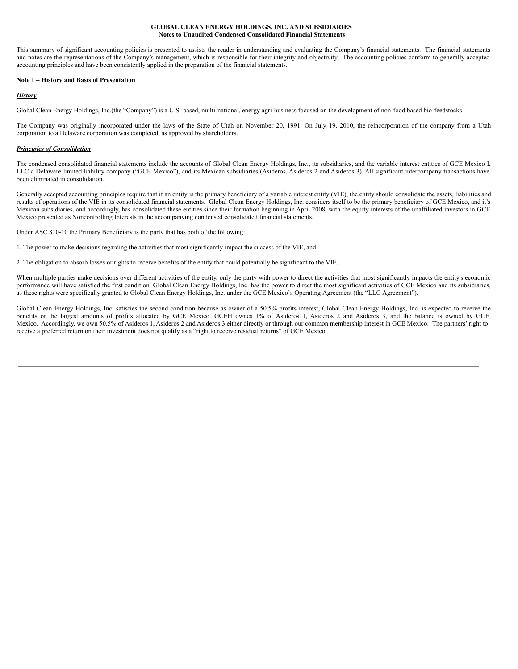This summary of significant accounting policies is presented to assists the reader in understanding and evaluating the Company's financial statements. The financial statements and notes are the representations of the Company's management, which is responsible for their integrity and objectivity. The accounting policies conform to generally accepted accounting principles and have been consistently applied in the preparation of the financial statements.

## **Note 1 – History and Basis of Presentation**

# *History*

Global Clean Energy Holdings, Inc.(the "Company") is a U.S.-based, multi-national, energy agri-business focused on the development of non-food based bio-feedstocks.

The Company was originally incorporated under the laws of the State of Utah on November 20, 1991. On July 19, 2010, the reincorporation of the company from a Utah corporation to a Delaware corporation was completed, as approved by shareholders.

# *Principles of Consolidation*

The condensed consolidated financial statements include the accounts of Global Clean Energy Holdings, Inc., its subsidiaries, and the variable interest entities of GCE Mexico I, LLC a Delaware limited liability company ("GCE Mexico"), and its Mexican subsidiaries (Asideros, Asideros 2 and Asideros 3). All significant intercompany transactions have been eliminated in consolidation.

Generally accepted accounting principles require that if an entity is the primary beneficiary of a variable interest entity (VIE), the entity should consolidate the assets, liabilities and results of operations of the VIE in its consolidated financial statements. Global Clean Energy Holdings, Inc. considers itself to be the primary beneficiary of GCE Mexico, and it's Mexican subsidiaries, and accordingly, has consolidated these entities since their formation beginning in April 2008, with the equity interests of the unaffiliated investors in GCE Mexico presented as Noncontrolling Interests in the accompanying condensed consolidated financial statements.

Under ASC 810-10 the Primary Beneficiary is the party that has both of the following:

1. The power to make decisions regarding the activities that most significantly impact the success of the VIE, and

2. The obligation to absorb losses or rights to receive benefits of the entity that could potentially be significant to the VIE.

When multiple parties make decisions over different activities of the entity, only the party with power to direct the activities that most significantly impacts the entity's economic performance will have satisfied the first condition. Global Clean Energy Holdings, Inc. has the power to direct the most significant activities of GCE Mexico and its subsidiaries, as these rights were specifically granted to Global Clean Energy Holdings, Inc. under the GCE Mexico's Operating Agreement (the "LLC Agreement").

Global Clean Energy Holdings, Inc. satisfies the second condition because as owner of a 50.5% profits interest, Global Clean Energy Holdings, Inc. is expected to receive the benefits or the largest amounts of profits allocated by GCE Mexico. GCEH ownes 1% of Asideros 1, Asideros 2 and Asideros 3, and the balance is owned by GCE Mexico. Accordingly, we own 50.5% of Asideros 1, Asideros 2 and Asideros 3 either directly or through our common membership interest in GCE Mexico. The partners' right to receive a preferred return on their investment does not qualify as a "right to receive residual returns" of GCE Mexico.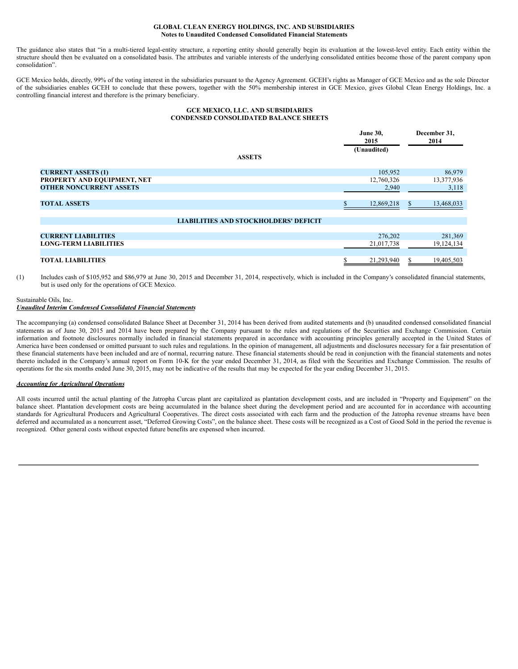The guidance also states that "in a multi-tiered legal-entity structure, a reporting entity should generally begin its evaluation at the lowest-level entity. Each entity within the structure should then be evaluated on a consolidated basis. The attributes and variable interests of the underlying consolidated entities become those of the parent company upon consolidation".

GCE Mexico holds, directly, 99% of the voting interest in the subsidiaries pursuant to the Agency Agreement. GCEH's rights as Manager of GCE Mexico and as the sole Director of the subsidiaries enables GCEH to conclude that these powers, together with the 50% membership interest in GCE Mexico, gives Global Clean Energy Holdings, Inc. a controlling financial interest and therefore is the primary beneficiary.

# **GCE MEXICO, LLC. AND SUBSIDIARIES CONDENSED CONSOLIDATED BALANCE SHEETS**

|                                |                                              | <b>June 30,</b><br>2015 | December 31,<br>2014 |
|--------------------------------|----------------------------------------------|-------------------------|----------------------|
|                                |                                              | (Unaudited)             |                      |
|                                | <b>ASSETS</b>                                |                         |                      |
|                                |                                              |                         |                      |
| <b>CURRENT ASSETS (1)</b>      |                                              | 105,952                 | 86,979               |
| PROPERTY AND EQUIPMENT, NET    |                                              | 12,760,326              | 13,377,936           |
| <b>OTHER NONCURRENT ASSETS</b> |                                              | 2,940                   | 3,118                |
|                                |                                              |                         |                      |
| <b>TOTAL ASSETS</b>            |                                              | 12,869,218              | 13,468,033           |
|                                |                                              |                         |                      |
|                                | <b>LIABILITIES AND STOCKHOLDERS' DEFICIT</b> |                         |                      |
|                                |                                              |                         |                      |
| <b>CURRENT LIABILITIES</b>     |                                              | 276,202                 | 281,369              |
| <b>LONG-TERM LIABILITIES</b>   |                                              | 21,017,738              | 19,124,134           |
|                                |                                              |                         |                      |
| <b>TOTAL LIABILITIES</b>       |                                              | 21,293,940              | 19,405,503           |

(1) Includes cash of \$105,952 and \$86,979 at June 30, 2015 and December 31, 2014, respectively, which is included in the Company's consolidated financial statements, but is used only for the operations of GCE Mexico.

# Sustainable Oils, Inc. *Unaudited Interim Condensed Consolidated Financial Statements*

The accompanying (a) condensed consolidated Balance Sheet at December 31, 2014 has been derived from audited statements and (b) unaudited condensed consolidated financial statements as of June 30, 2015 and 2014 have been prepared by the Company pursuant to the rules and regulations of the Securities and Exchange Commission. Certain information and footnote disclosures normally included in financial statements prepared in accordance with accounting principles generally accepted in the United States of America have been condensed or omitted pursuant to such rules and regulations. In the opinion of management, all adjustments and disclosures necessary for a fair presentation of these financial statements have been included and are of normal, recurring nature. These financial statements should be read in conjunction with the financial statements and notes thereto included in the Company's annual report on Form 10-K for the year ended December 31, 2014, as filed with the Securities and Exchange Commission. The results of operations for the six months ended June 30, 2015, may not be indicative of the results that may be expected for the year ending December 31, 2015.

# *Accounting for Agricultural Operations*

All costs incurred until the actual planting of the Jatropha Curcas plant are capitalized as plantation development costs, and are included in "Property and Equipment" on the balance sheet. Plantation development costs are being accumulated in the balance sheet during the development period and are accounted for in accordance with accounting standards for Agricultural Producers and Agricultural Cooperatives. The direct costs associated with each farm and the production of the Jatropha revenue streams have been deferred and accumulated as a noncurrent asset, "Deferred Growing Costs", on the balance sheet. These costs will be recognized as a Cost of Good Sold in the period the revenue is recognized. Other general costs without expected future benefits are expensed when incurred.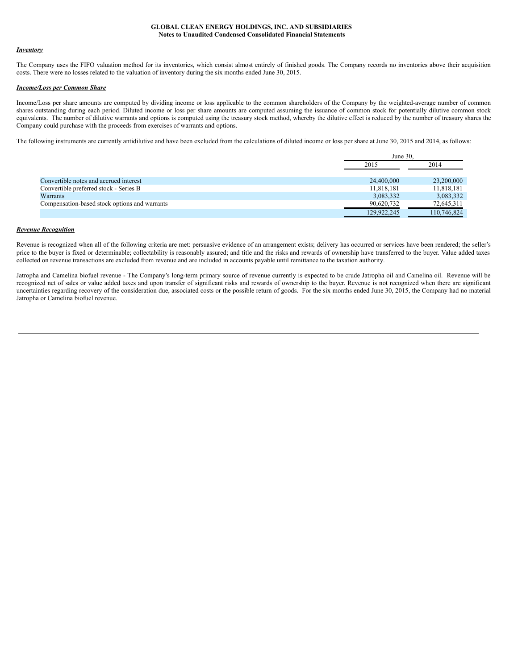#### *Inventory*

The Company uses the FIFO valuation method for its inventories, which consist almost entirely of finished goods. The Company records no inventories above their acquisition costs. There were no losses related to the valuation of inventory during the six months ended June 30, 2015.

#### *Income/Loss per Common Share*

Income/Loss per share amounts are computed by dividing income or loss applicable to the common shareholders of the Company by the weighted-average number of common shares outstanding during each period. Diluted income or loss per share amounts are computed assuming the issuance of common stock for potentially dilutive common stock equivalents. The number of dilutive warrants and options is computed using the treasury stock method, whereby the dilutive effect is reduced by the number of treasury shares the Company could purchase with the proceeds from exercises of warrants and options.

The following instruments are currently antidilutive and have been excluded from the calculations of diluted income or loss per share at June 30, 2015 and 2014, as follows:

|                                               | June 30.    |             |
|-----------------------------------------------|-------------|-------------|
|                                               | 2015        |             |
|                                               |             |             |
| Convertible notes and accrued interest        | 24,400,000  | 23,200,000  |
| Convertible preferred stock - Series B        | 11,818,181  | 11,818,181  |
| Warrants                                      | 3,083,332   | 3,083,332   |
| Compensation-based stock options and warrants | 90,620,732  | 72,645,311  |
|                                               | 129,922,245 | 110,746,824 |

#### *Revenue Recognition*

Revenue is recognized when all of the following criteria are met: persuasive evidence of an arrangement exists; delivery has occurred or services have been rendered; the seller's price to the buyer is fixed or determinable; collectability is reasonably assured; and title and the risks and rewards of ownership have transferred to the buyer. Value added taxes collected on revenue transactions are excluded from revenue and are included in accounts payable until remittance to the taxation authority.

Jatropha and Camelina biofuel revenue - The Company's long-term primary source of revenue currently is expected to be crude Jatropha oil and Camelina oil. Revenue will be recognized net of sales or value added taxes and upon transfer of significant risks and rewards of ownership to the buyer. Revenue is not recognized when there are significant uncertainties regarding recovery of the consideration due, associated costs or the possible return of goods. For the six months ended June 30, 2015, the Company had no material Jatropha or Camelina biofuel revenue.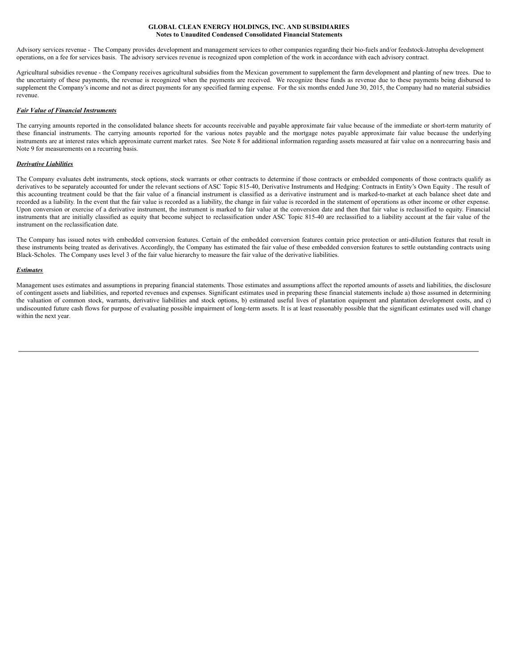Advisory services revenue - The Company provides development and management services to other companies regarding their bio-fuels and/or feedstock-Jatropha development operations, on a fee for services basis. The advisory services revenue is recognized upon completion of the work in accordance with each advisory contract.

Agricultural subsidies revenue - the Company receives agricultural subsidies from the Mexican government to supplement the farm development and planting of new trees. Due to the uncertainty of these payments, the revenue is recognized when the payments are received. We recognize these funds as revenue due to these payments being disbursed to supplement the Company's income and not as direct payments for any specified farming expense. For the six months ended June 30, 2015, the Company had no material subsidies revenue.

### *Fair Value of Financial Instruments*

The carrying amounts reported in the consolidated balance sheets for accounts receivable and payable approximate fair value because of the immediate or short-term maturity of these financial instruments. The carrying amounts reported for the various notes payable and the mortgage notes payable approximate fair value because the underlying instruments are at interest rates which approximate current market rates. See Note 8 for additional information regarding assets measured at fair value on a nonrecurring basis and Note 9 for measurements on a recurring basis.

### *Derivative Liabilities*

The Company evaluates debt instruments, stock options, stock warrants or other contracts to determine if those contracts or embedded components of those contracts qualify as derivatives to be separately accounted for under the relevant sections of ASC Topic 815-40, Derivative Instruments and Hedging: Contracts in Entity's Own Equity . The result of this accounting treatment could be that the fair value of a financial instrument is classified as a derivative instrument and is marked-to-market at each balance sheet date and recorded as a liability. In the event that the fair value is recorded as a liability, the change in fair value is recorded in the statement of operations as other income or other expense. Upon conversion or exercise of a derivative instrument, the instrument is marked to fair value at the conversion date and then that fair value is reclassified to equity. Financial instruments that are initially classified as equity that become subject to reclassification under ASC Topic 815-40 are reclassified to a liability account at the fair value of the instrument on the reclassification date.

The Company has issued notes with embedded conversion features. Certain of the embedded conversion features contain price protection or anti-dilution features that result in these instruments being treated as derivatives. Accordingly, the Company has estimated the fair value of these embedded conversion features to settle outstanding contracts using Black-Scholes. The Company uses level 3 of the fair value hierarchy to measure the fair value of the derivative liabilities.

#### *Estimates*

Management uses estimates and assumptions in preparing financial statements. Those estimates and assumptions affect the reported amounts of assets and liabilities, the disclosure of contingent assets and liabilities, and reported revenues and expenses. Significant estimates used in preparing these financial statements include a) those assumed in determining the valuation of common stock, warrants, derivative liabilities and stock options, b) estimated useful lives of plantation equipment and plantation development costs, and c) undiscounted future cash flows for purpose of evaluating possible impairment of long-term assets. It is at least reasonably possible that the significant estimates used will change within the next year.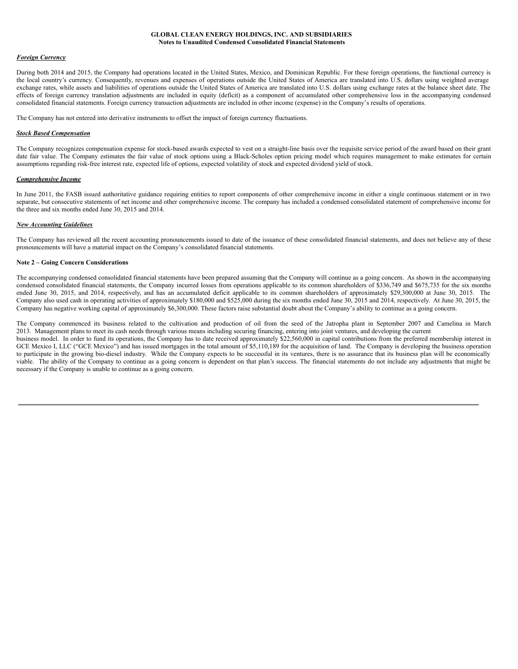### *Foreign Currency*

During both 2014 and 2015, the Company had operations located in the United States, Mexico, and Dominican Republic. For these foreign operations, the functional currency is the local country's currency. Consequently, revenues and expenses of operations outside the United States of America are translated into U.S. dollars using weighted average exchange rates, while assets and liabilities of operations outside the United States of America are translated into U.S. dollars using exchange rates at the balance sheet date. The effects of foreign currency translation adjustments are included in equity (deficit) as a component of accumulated other comprehensive loss in the accompanying condensed consolidated financial statements. Foreign currency transaction adjustments are included in other income (expense) in the Company's results of operations.

The Company has not entered into derivative instruments to offset the impact of foreign currency fluctuations.

## *Stock Based Compensation*

The Company recognizes compensation expense for stock-based awards expected to vest on a straight-line basis over the requisite service period of the award based on their grant date fair value. The Company estimates the fair value of stock options using a Black-Scholes option pricing model which requires management to make estimates for certain assumptions regarding risk-free interest rate, expected life of options, expected volatility of stock and expected dividend yield of stock.

#### *Comprehensive Income*

In June 2011, the FASB issued authoritative guidance requiring entities to report components of other comprehensive income in either a single continuous statement or in two separate, but consecutive statements of net income and other comprehensive income. The company has included a condensed consolidated statement of comprehensive income for the three and six months ended June 30, 2015 and 2014.

### *New Accounting Guidelines*

The Company has reviewed all the recent accounting pronouncements issued to date of the issuance of these consolidated financial statements, and does not believe any of these pronouncements will have a material impact on the Company's consolidated financial statements.

#### **Note 2 – Going Concern Considerations**

The accompanying condensed consolidated financial statements have been prepared assuming that the Company will continue as a going concern. As shown in the accompanying condensed consolidated financial statements, the Company incurred losses from operations applicable to its common shareholders of \$336,749 and \$675,735 for the six months ended June 30, 2015, and 2014, respectively, and has an accumulated deficit applicable to its common shareholders of approximately \$29,300,000 at June 30, 2015. The Company also used cash in operating activities of approximately \$180,000 and \$525,000 during the six months ended June 30, 2015 and 2014, respectively. At June 30, 2015, the Company has negative working capital of approximately \$6,300,000. These factors raise substantial doubt about the Company's ability to continue as a going concern.

The Company commenced its business related to the cultivation and production of oil from the seed of the Jatropha plant in September 2007 and Camelina in March 2013. Management plans to meet its cash needs through various means including securing financing, entering into joint ventures, and developing the current business model. In order to fund its operations, the Company has to date received approximately \$22,560,000 in capital contributions from the preferred membership interest in GCE Mexico I, LLC ("GCE Mexico") and has issued mortgages in the total amount of \$5,110,189 for the acquisition of land. The Company is developing the business operation to participate in the growing bio-diesel industry. While the Company expects to be successful in its ventures, there is no assurance that its business plan will be economically viable. The ability of the Company to continue as a going concern is dependent on that plan's success. The financial statements do not include any adjustments that might be necessary if the Company is unable to continue as a going concern.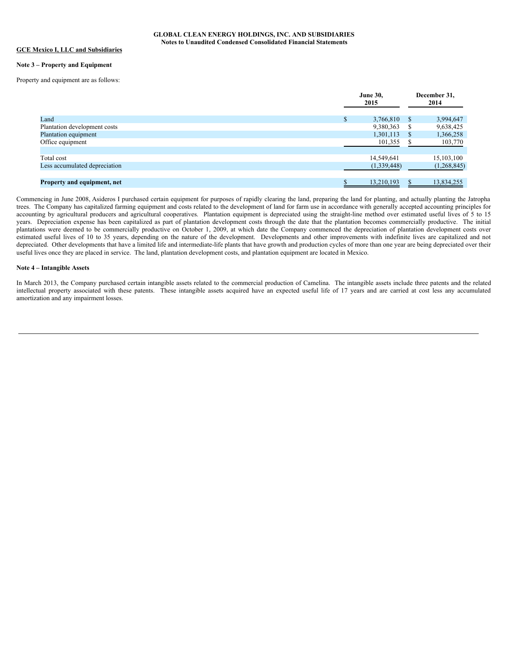# **GCE Mexico I, LLC and Subsidiaries**

### **Note 3 – Property and Equipment**

Property and equipment are as follows:

|                               | <b>June 30,</b><br>2015 |             |              | December 31,<br>2014 |  |
|-------------------------------|-------------------------|-------------|--------------|----------------------|--|
| Land                          | \$                      | 3,766,810   | -S           | 3,994,647            |  |
| Plantation development costs  |                         | 9,380,363   | S            | 9,638,425            |  |
| Plantation equipment          |                         | 1,301,113   | <sup>S</sup> | 1,366,258            |  |
| Office equipment              |                         | 101,355     |              | 103,770              |  |
|                               |                         |             |              |                      |  |
| Total cost                    |                         | 14,549,641  |              | 15,103,100           |  |
| Less accumulated depreciation |                         | (1,339,448) |              | (1,268,845)          |  |
|                               |                         |             |              |                      |  |
| Property and equipment, net   |                         | 13,210,193  |              | 13,834,255           |  |

Commencing in June 2008, Asideros I purchased certain equipment for purposes of rapidly clearing the land, preparing the land for planting, and actually planting the Jatropha trees. The Company has capitalized farming equipment and costs related to the development of land for farm use in accordance with generally accepted accounting principles for accounting by agricultural producers and agricultural cooperatives. Plantation equipment is depreciated using the straight-line method over estimated useful lives of 5 to 15 years. Depreciation expense has been capitalized as part of plantation development costs through the date that the plantation becomes commercially productive. The initial plantations were deemed to be commercially productive on October 1, 2009, at which date the Company commenced the depreciation of plantation development costs over estimated useful lives of 10 to 35 years, depending on the nature of the development. Developments and other improvements with indefinite lives are capitalized and not depreciated. Other developments that have a limited life and intermediate-life plants that have growth and production cycles of more than one year are being depreciated over their useful lives once they are placed in service. The land, plantation development costs, and plantation equipment are located in Mexico.

#### **Note 4 – Intangible Assets**

In March 2013, the Company purchased certain intangible assets related to the commercial production of Camelina. The intangible assets include three patents and the related intellectual property associated with these patents. These intangible assets acquired have an expected useful life of 17 years and are carried at cost less any accumulated amortization and any impairment losses.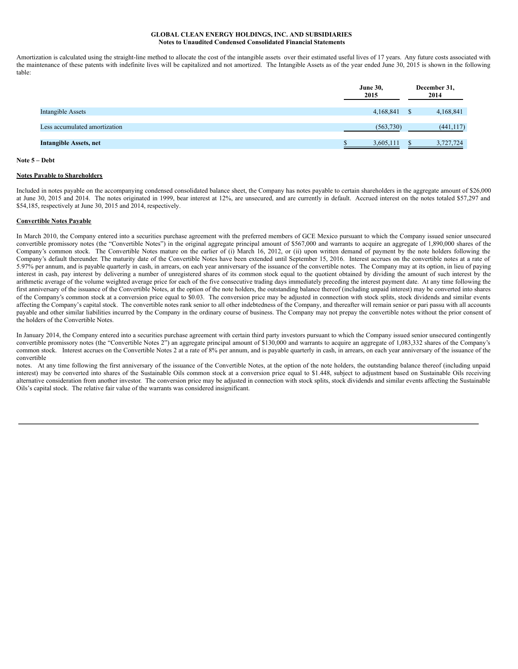Amortization is calculated using the straight-line method to allocate the cost of the intangible assets over their estimated useful lives of 17 years. Any future costs associated with the maintenance of these patents with indefinite lives will be capitalized and not amortized. The Intangible Assets as of the year ended June 30, 2015 is shown in the following table:

|                               | <b>June 30,</b><br>2015 | December 31,<br>2014 |
|-------------------------------|-------------------------|----------------------|
| <b>Intangible Assets</b>      | 4,168,841               | 4,168,841            |
| Less accumulated amortization | (563,730)               | (441, 117)           |
| <b>Intangible Assets, net</b> | 3,605,111               | 3,727,724            |

#### **Note 5 – Debt**

#### **Notes Payable to Shareholders**

Included in notes payable on the accompanying condensed consolidated balance sheet, the Company has notes payable to certain shareholders in the aggregate amount of \$26,000 at June 30, 2015 and 2014. The notes originated in 1999, bear interest at 12%, are unsecured, and are currently in default. Accrued interest on the notes totaled \$57,297 and \$54,185, respectively at June 30, 2015 and 2014, respectively.

# **Convertible Notes Payable**

In March 2010, the Company entered into a securities purchase agreement with the preferred members of GCE Mexico pursuant to which the Company issued senior unsecured convertible promissory notes (the "Convertible Notes") in the original aggregate principal amount of \$567,000 and warrants to acquire an aggregate of 1,890,000 shares of the Company's common stock. The Convertible Notes mature on the earlier of (i) March 16, 2012, or (ii) upon written demand of payment by the note holders following the Company's default thereunder. The maturity date of the Convertible Notes have been extended until September 15, 2016. Interest accrues on the convertible notes at a rate of 5.97% per annum, and is payable quarterly in cash, in arrears, on each year anniversary of the issuance of the convertible notes. The Company may at its option, in lieu of paying interest in cash, pay interest by delivering a number of unregistered shares of its common stock equal to the quotient obtained by dividing the amount of such interest by the arithmetic average of the volume weighted average price for each of the five consecutive trading days immediately preceding the interest payment date. At any time following the first anniversary of the issuance of the Convertible Notes, at the option of the note holders, the outstanding balance thereof (including unpaid interest) may be converted into shares of the Company's common stock at a conversion price equal to \$0.03. The conversion price may be adjusted in connection with stock splits, stock dividends and similar events affecting the Company's capital stock. The convertible notes rank senior to all other indebtedness of the Company, and thereafter will remain senior or pari passu with all accounts payable and other similar liabilities incurred by the Company in the ordinary course of business. The Company may not prepay the convertible notes without the prior consent of the holders of the Convertible Notes.

In January 2014, the Company entered into a securities purchase agreement with certain third party investors pursuant to which the Company issued senior unsecured contingently convertible promissory notes (the "Convertible Notes 2") an aggregate principal amount of \$130,000 and warrants to acquire an aggregate of 1,083,332 shares of the Company's common stock. Interest accrues on the Convertible Notes 2 at a rate of 8% per annum, and is payable quarterly in cash, in arrears, on each year anniversary of the issuance of the convertible

notes. At any time following the first anniversary of the issuance of the Convertible Notes, at the option of the note holders, the outstanding balance thereof (including unpaid interest) may be converted into shares of the Sustainable Oils common stock at a conversion price equal to \$1.448, subject to adjustment based on Sustainable Oils receiving alternative consideration from another investor. The conversion price may be adjusted in connection with stock splits, stock dividends and similar events affecting the Sustainable Oils's capital stock. The relative fair value of the warrants was considered insignificant.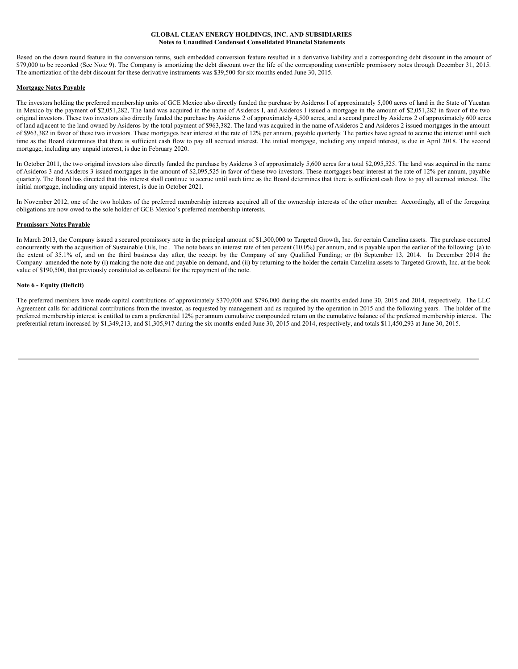Based on the down round feature in the conversion terms, such embedded conversion feature resulted in a derivative liability and a corresponding debt discount in the amount of \$79,000 to be recorded (See Note 9). The Company is amortizing the debt discount over the life of the corresponding convertible promissory notes through December 31, 2015. The amortization of the debt discount for these derivative instruments was \$39,500 for six months ended June 30, 2015.

# **Mortgage Notes Payable**

The investors holding the preferred membership units of GCE Mexico also directly funded the purchase by Asideros I of approximately 5,000 acres of land in the State of Yucatan in Mexico by the payment of \$2,051,282, The land was acquired in the name of Asideros I, and Asideros I issued a mortgage in the amount of \$2,051,282 in favor of the two original investors. These two investors also directly funded the purchase by Asideros 2 of approximately 4,500 acres, and a second parcel by Asideros 2 of approximately 600 acres of land adjacent to the land owned by Asideros by the total payment of \$963,382. The land was acquired in the name of Asideros 2 and Asideros 2 issued mortgages in the amount of \$963,382 in favor of these two investors. These mortgages bear interest at the rate of 12% per annum, payable quarterly. The parties have agreed to accrue the interest until such time as the Board determines that there is sufficient cash flow to pay all accrued interest. The initial mortgage, including any unpaid interest, is due in April 2018. The second mortgage, including any unpaid interest, is due in February 2020.

In October 2011, the two original investors also directly funded the purchase by Asideros 3 of approximately 5,600 acres for a total \$2,095,525. The land was acquired in the name of Asideros 3 and Asideros 3 issued mortgages in the amount of \$2,095,525 in favor of these two investors. These mortgages bear interest at the rate of 12% per annum, payable quarterly. The Board has directed that this interest shall continue to accrue until such time as the Board determines that there is sufficient cash flow to pay all accrued interest. The initial mortgage, including any unpaid interest, is due in October 2021.

In November 2012, one of the two holders of the preferred membership interests acquired all of the ownership interests of the other member. Accordingly, all of the foregoing obligations are now owed to the sole holder of GCE Mexico's preferred membership interests.

# **Promissory Notes Payable**

In March 2013, the Company issued a secured promissory note in the principal amount of \$1,300,000 to Targeted Growth, Inc. for certain Camelina assets. The purchase occurred concurrently with the acquisition of Sustainable Oils, Inc.. The note bears an interest rate of ten percent (10.0%) per annum, and is payable upon the earlier of the following: (a) to the extent of 35.1% of, and on the third business day after, the receipt by the Company of any Qualified Funding; or (b) September 13, 2014. In December 2014 the Company amended the note by (i) making the note due and payable on demand, and (ii) by returning to the holder the certain Camelina assets to Targeted Growth, Inc. at the book value of \$190,500, that previously constituted as collateral for the repayment of the note.

### **Note 6 - Equity (Deficit)**

The preferred members have made capital contributions of approximately \$370,000 and \$796,000 during the six months ended June 30, 2015 and 2014, respectively. The LLC Agreement calls for additional contributions from the investor, as requested by management and as required by the operation in 2015 and the following years. The holder of the preferred membership interest is entitled to earn a preferential 12% per annum cumulative compounded return on the cumulative balance of the preferred membership interest. The preferential return increased by \$1,349,213, and \$1,305,917 during the six months ended June 30, 2015 and 2014, respectively, and totals \$11,450,293 at June 30, 2015.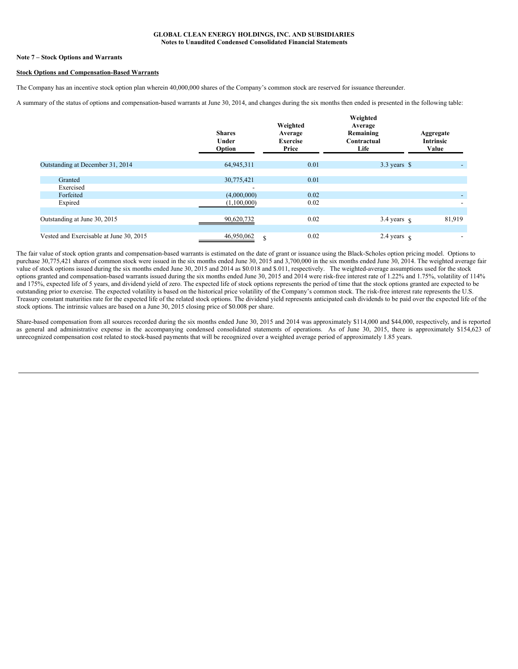#### **Note 7 – Stock Options and Warrants**

### **Stock Options and Compensation-Based Warrants**

The Company has an incentive stock option plan wherein 40,000,000 shares of the Company's common stock are reserved for issuance thereunder.

A summary of the status of options and compensation-based warrants at June 30, 2014, and changes during the six months then ended is presented in the following table:

|                                         | <b>Shares</b><br>Under<br>Option       | Weighted<br>Average<br><b>Exercise</b><br>Price | Weighted<br>Average<br>Remaining<br>Contractual<br>Life | Aggregate<br><b>Intrinsic</b><br>Value |
|-----------------------------------------|----------------------------------------|-------------------------------------------------|---------------------------------------------------------|----------------------------------------|
| Outstanding at December 31, 2014        | 64,945,311                             | 0.01                                            | $3.3 \text{ years}$ \$                                  |                                        |
| Granted<br>Exercised                    | 30,775,421<br>$\overline{\phantom{0}}$ | 0.01                                            |                                                         |                                        |
| Forfeited<br>Expired                    | (4,000,000)<br>(1,100,000)             | 0.02<br>0.02                                    |                                                         |                                        |
| Outstanding at June 30, 2015            | 90,620,732                             | 0.02                                            | 3.4 years $\epsilon$                                    | 81,919                                 |
| Vested and Exercisable at June 30, 2015 | 46,950,062<br>$\mathbf S$              | 0.02                                            | 2.4 years $\,$ s                                        | -                                      |

The fair value of stock option grants and compensation-based warrants is estimated on the date of grant or issuance using the Black-Scholes option pricing model. Options to purchase 30,775,421 shares of common stock were issued in the six months ended June 30, 2015 and 3,700,000 in the six months ended June 30, 2014. The weighted average fair value of stock options issued during the six months ended June 30, 2015 and 2014 as \$0.018 and \$.011, respectively. The weighted-average assumptions used for the stock options granted and compensation-based warrants issued during the six months ended June 30, 2015 and 2014 were risk-free interest rate of 1.22% and 1.75%, volatility of 114% and 175%, expected life of 5 years, and dividend yield of zero. The expected life of stock options represents the period of time that the stock options granted are expected to be outstanding prior to exercise. The expected volatility is based on the historical price volatility of the Company's common stock. The risk-free interest rate represents the U.S. Treasury constant maturities rate for the expected life of the related stock options. The dividend yield represents anticipated cash dividends to be paid over the expected life of the stock options. The intrinsic values are based on a June 30, 2015 closing price of \$0.008 per share.

Share-based compensation from all sources recorded during the six months ended June 30, 2015 and 2014 was approximately \$114,000 and \$44,000, respectively, and is reported as general and administrative expense in the accompanying condensed consolidated statements of operations. As of June 30, 2015, there is approximately \$154,623 of unrecognized compensation cost related to stock-based payments that will be recognized over a weighted average period of approximately 1.85 years.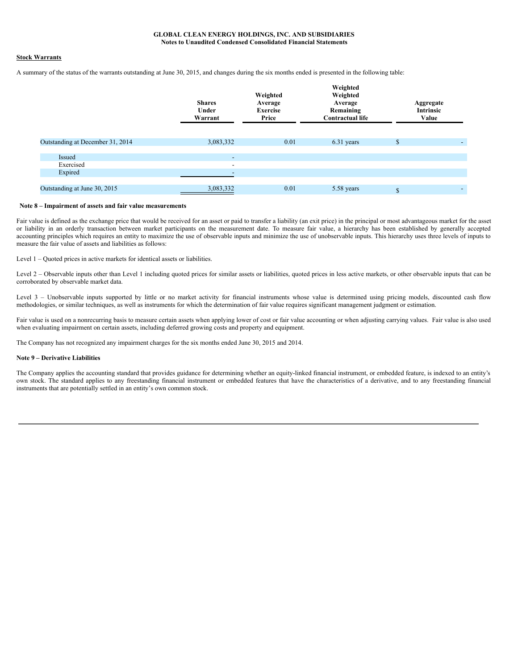### **Stock Warrants**

A summary of the status of the warrants outstanding at June 30, 2015, and changes during the six months ended is presented in the following table:

|                                  | <b>Shares</b><br>Under<br>Warrant | Weighted<br>Average<br><b>Exercise</b><br>Price | Weighted<br>Weighted<br>Average<br>Remaining<br><b>Contractual life</b> | Aggregate<br>Intrinsic<br>Value |                          |
|----------------------------------|-----------------------------------|-------------------------------------------------|-------------------------------------------------------------------------|---------------------------------|--------------------------|
| Outstanding at December 31, 2014 | 3,083,332                         | 0.01                                            | 6.31 years                                                              | \$                              | $\overline{\phantom{0}}$ |
|                                  |                                   |                                                 |                                                                         |                                 |                          |
| Issued                           | $\overline{\phantom{a}}$          |                                                 |                                                                         |                                 |                          |
| Exercised                        | $\overline{\phantom{a}}$          |                                                 |                                                                         |                                 |                          |
| Expired                          |                                   |                                                 |                                                                         |                                 |                          |
|                                  |                                   |                                                 |                                                                         |                                 |                          |
| Outstanding at June 30, 2015     | 3,083,332                         | 0.01                                            | 5.58 years                                                              | \$                              | -                        |

### **Note 8 – Impairment of assets and fair value measurements**

Fair value is defined as the exchange price that would be received for an asset or paid to transfer a liability (an exit price) in the principal or most advantageous market for the asset or liability in an orderly transaction between market participants on the measurement date. To measure fair value, a hierarchy has been established by generally accepted accounting principles which requires an entity to maximize the use of observable inputs and minimize the use of unobservable inputs. This hierarchy uses three levels of inputs to measure the fair value of assets and liabilities as follows:

Level 1 – Quoted prices in active markets for identical assets or liabilities.

Level 2 – Observable inputs other than Level 1 including quoted prices for similar assets or liabilities, quoted prices in less active markets, or other observable inputs that can be corroborated by observable market data.

Level 3 – Unobservable inputs supported by little or no market activity for financial instruments whose value is determined using pricing models, discounted cash flow methodologies, or similar techniques, as well as instruments for which the determination of fair value requires significant management judgment or estimation.

Fair value is used on a nonrecurring basis to measure certain assets when applying lower of cost or fair value accounting or when adjusting carrying values. Fair value is also used when evaluating impairment on certain assets, including deferred growing costs and property and equipment.

The Company has not recognized any impairment charges for the six months ended June 30, 2015 and 2014.

### **Note 9 – Derivative Liabilities**

The Company applies the accounting standard that provides guidance for determining whether an equity-linked financial instrument, or embedded feature, is indexed to an entity's own stock. The standard applies to any freestanding financial instrument or embedded features that have the characteristics of a derivative, and to any freestanding financial instruments that are potentially settled in an entity's own common stock.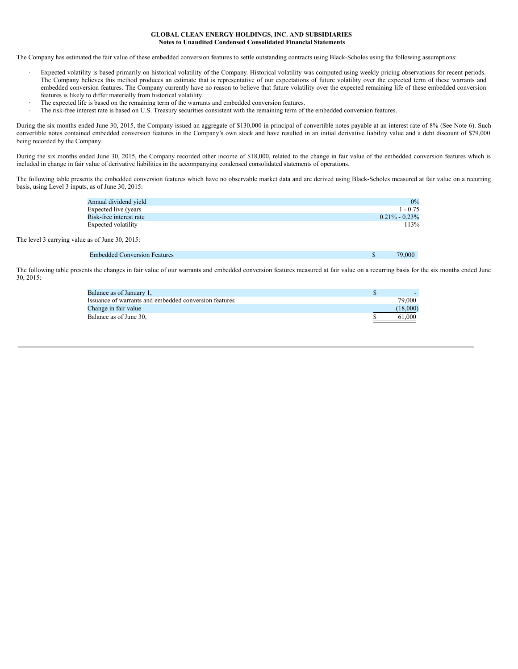The Company has estimated the fair value of these embedded conversion features to settle outstanding contracts using Black-Scholes using the following assumptions:

- Expected volatility is based primarily on historical volatility of the Company. Historical volatility was computed using weekly pricing observations for recent periods. The Company believes this method produces an estimate that is representative of our expectations of future volatility over the expected term of these warrants and embedded conversion features. The Company currently have no reason to believe that future volatility over the expected remaining life of these embedded conversion features is likely to differ materially from historical volatility.
- The expected life is based on the remaining term of the warrants and embedded conversion features.
- The risk-free interest rate is based on U.S. Treasury securities consistent with the remaining term of the embedded conversion features.

During the six months ended June 30, 2015, the Company issued an aggregate of \$130,000 in principal of convertible notes payable at an interest rate of 8% (See Note 6). Such convertible notes contained embedded conversion features in the Company's own stock and have resulted in an initial derivative liability value and a debt discount of \$79,000 being recorded by the Company.

During the six months ended June 30, 2015, the Company recorded other income of \$18,000, related to the change in fair value of the embedded conversion features which is included in change in fair value of derivative liabilities in the accompanying condensed consolidated statements of operations.

The following table presents the embedded conversion features which have no observable market data and are derived using Black-Scholes measured at fair value on a recurring basis, using Level 3 inputs, as of June 30, 2015:

| Annual dividend yield   | $0\%$             |
|-------------------------|-------------------|
| Expected live (years    | $1 - 0.75$        |
| Risk-free interest rate | $0.21\% - 0.23\%$ |
| Expected volatility     | 113%              |
|                         |                   |

The level 3 carrying value as of June 30, 2015:

## Embedded Conversion Features \$ 79,000

The following table presents the changes in fair value of our warrants and embedded conversion features measured at fair value on a recurring basis for the six months ended June 30, 2015:

| Balance as of January 1,                              |          |
|-------------------------------------------------------|----------|
| Issuance of warrants and embedded conversion features | 79.000   |
| Change in fair value                                  | (18,000) |
| Balance as of June 30,                                | 61.000   |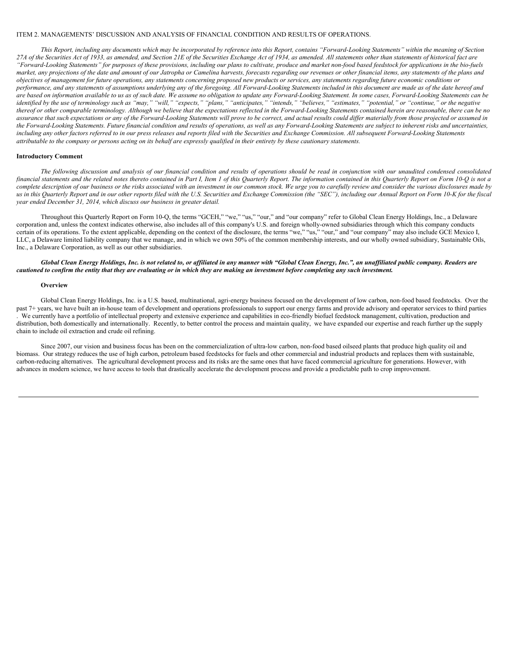#### ITEM 2. MANAGEMENTS' DISCUSSION AND ANALYSIS OF FINANCIAL CONDITION AND RESULTS OF OPERATIONS.

This Report, including any documents which may be incorporated by reference into this Report, contains "Forward-Looking Statements" within the meaning of Section 27A of the Securities Act of 1933, as amended, and Section 21E of the Securities Exchange Act of 1934, as amended. All statements other than statements of historical fact are "Forward-Looking Statements" for purposes of these provisions, including our plans to cultivate, produce and market non-food based feedstock for applications in the bio-fuels market, any projections of the date and amount of our Jatropha or Camelina harvests, forecasts regarding our revenues or other financial items, any statements of the plans and objectives of management for future operations, any statements concerning proposed new products or services, any statements regarding future economic conditions or performance, and any statements of assumptions underlying any of the foregoing. All Forward-Looking Statements included in this document are made as of the date hereof and are based on information available to us as of such date. We assume no obligation to update any Forward-Looking Statement. In some cases, Forward-Looking Statements can be identified by the use of terminology such as "may," "will," "expects," "plans," "anticipates," "intends," "believes," "estimates," "potential," or "continue," or the negative thereof or other comparable terminology. Although we believe that the expectations reflected in the Forward-Looking Statements contained herein are reasonable, there can be no assurance that such expectations or any of the Forward-Looking Statements will prove to be correct, and actual results could differ materially from those projected or assumed in the Forward-Looking Statements. Future financial condition and results of operations, as well as any Forward-Looking Statements are subject to inherent risks and uncertainties, including any other factors referred to in our press releases and reports filed with the Securities and Exchange Commission. All subsequent Forward-Looking Statements attributable to the company or persons acting on its behalf are expressly qualified in their entirety by these cautionary statements.

#### **Introductory Comment**

The following discussion and analysis of our financial condition and results of operations should be read in conjunction with our unaudited condensed consolidated financial statements and the related notes thereto contained in Part I, Item 1 of this Quarterly Report. The information contained in this Quarterly Report on Form 10-Q is not a complete description of our business or the risks associated with an investment in our common stock. We urge you to carefully review and consider the various disclosures made by us in this Quarterly Report and in our other reports filed with the U.S. Securities and Exchange Commission (the "SEC"), including our Annual Report on Form 10-K for the fiscal *year ended December 31, 2014, which discuss our business in greater detail.*

Throughout this Quarterly Report on Form 10-Q, the terms "GCEH," "we," "us," "our," and "our company" refer to Global Clean Energy Holdings, Inc., a Delaware corporation and, unless the context indicates otherwise, also includes all of this company's U.S. and foreign wholly-owned subsidiaries through which this company conducts certain of its operations. To the extent applicable, depending on the context of the disclosure, the terms "we," "us," "our," and "our company" may also include GCE Mexico I, LLC, a Delaware limited liability company that we manage, and in which we own 50% of the common membership interests, and our wholly owned subsidiary, Sustainable Oils, Inc., a Delaware Corporation, as well as our other subsidiaries.

Global Clean Energy Holdings, Inc. is not related to, or affiliated in any manner with "Global Clean Energy, Inc.", an unaffiliated public company. Readers are cautioned to confirm the entity that they are evaluating or in which they are making an investment before completing any such investment.

#### **Overview**

Global Clean Energy Holdings, Inc. is a U.S. based, multinational, agri-energy business focused on the development of low carbon, non-food based feedstocks. Over the past 7+ years, we have built an in-house team of development and operations professionals to support our energy farms and provide advisory and operator services to third parties . We currently have a portfolio of intellectual property and extensive experience and capabilities in eco-friendly biofuel feedstock management, cultivation, production and distribution, both domestically and internationally. Recently, to better control the process and maintain quality, we have expanded our expertise and reach further up the supply chain to include oil extraction and crude oil refining.

Since 2007, our vision and business focus has been on the commercialization of ultra-low carbon, non-food based oilseed plants that produce high quality oil and biomass. Our strategy reduces the use of high carbon, petroleum based feedstocks for fuels and other commercial and industrial products and replaces them with sustainable, carbon-reducing alternatives. The agricultural development process and its risks are the same ones that have faced commercial agriculture for generations. However, with advances in modern science, we have access to tools that drastically accelerate the development process and provide a predictable path to crop improvement.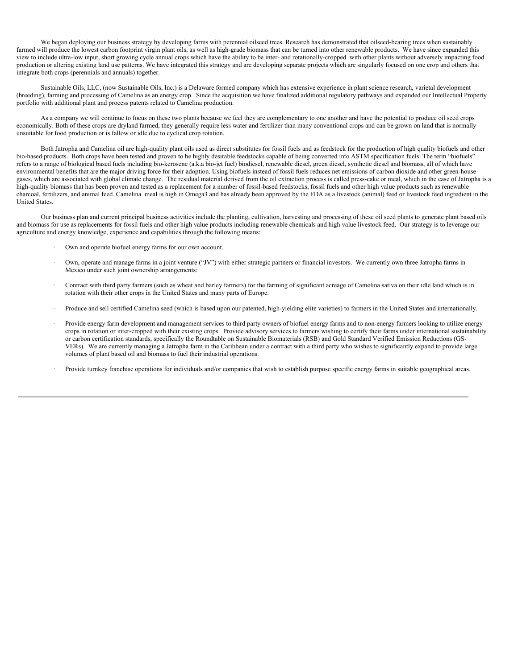We began deploying our business strategy by developing farms with perennial oilseed trees. Research has demonstrated that oilseed-bearing trees when sustainably farmed will produce the lowest carbon footprint virgin plant oils, as well as high-grade biomass that can be turned into other renewable products. We have since expanded this view to include ultra-low input, short growing cycle annual crops which have the ability to be inter- and rotationally-cropped with other plants without adversely impacting food production or altering existing land use patterns. We have integrated this strategy and are developing separate projects which are singularly focused on one crop and others that integrate both crops (perennials and annuals) together.

Sustainable Oils, LLC, (now Sustainable Oils, Inc.) is a Delaware formed company which has extensive experience in plant science research, varietal development (breeding), farming and processing of Camelina as an energy crop. Since the acquisition we have finalized additional regulatory pathways and expanded our Intellectual Property portfolio with additional plant and process patents related to Camelina production.

As a company we will continue to focus on these two plants because we feel they are complementary to one another and have the potential to produce oil seed crops economically. Both of these crops are dryland farmed, they generally require less water and fertilizer than many conventional crops and can be grown on land that is normally unsuitable for food production or is fallow or idle due to cyclical crop rotation.

Both Jatropha and Camelina oil are high-quality plant oils used as direct substitutes for fossil fuels and as feedstock for the production of high quality biofuels and other bio-based products. Both crops have been tested and proven to be highly desirable feedstocks capable of being converted into ASTM specification fuels. The term "biofuels" refers to a range of biological based fuels including bio-kerosene (a.k.a bio-jet fuel) biodiesel, renewable diesel, green diesel, synthetic diesel and biomass, all of which have environmental benefits that are the major driving force for their adoption. Using biofuels instead of fossil fuels reduces net emissions of carbon dioxide and other green-house gases, which are associated with global climate change. The residual material derived from the oil extraction process is called press-cake or meal, which in the case of Jatropha is a high-quality biomass that has been proven and tested as a replacement for a number of fossil-based feedstocks, fossil fuels and other high value products such as renewable charcoal, fertilizers, and animal feed. Camelina meal is high in Omega3 and has already been approved by the FDA as a livestock (animal) feed or livestock feed ingredient in the United States.

Our business plan and current principal business activities include the planting, cultivation, harvesting and processing of these oil seed plants to generate plant based oils and biomass for use as replacements for fossil fuels and other high value products including renewable chemicals and high value livestock feed. Our strategy is to leverage our agriculture and energy knowledge, experience and capabilities through the following means:

- Own and operate biofuel energy farms for our own account.
- · Own, operate and manage farms in a joint venture ("JV") with either strategic partners or financial investors. We currently own three Jatropha farms in Mexico under such joint ownership arrangements:
- · Contract with third party farmers (such as wheat and barley farmers) for the farming of significant acreage of Camelina sativa on their idle land which is in rotation with their other crops in the United States and many parts of Europe.
- · Produce and sell certified Camelina seed (which is based upon our patented, high-yielding elite varieties) to farmers in the United States and internationally.
- Provide energy farm development and management services to third party owners of biofuel energy farms and to non-energy farmers looking to utilize energy crops in rotation or inter-cropped with their existing crops. Provide advisory services to farmers wishing to certify their farms under international sustainability or carbon certification standards, specifically the Roundtable on Sustainable Biomaterials (RSB) and Gold Standard Verified Emission Reductions (GS-VERs). We are currently managing a Jatropha farm in the Caribbean under a contract with a third party who wishes to significantly expand to provide large volumes of plant based oil and biomass to fuel their industrial operations.
- Provide turnkey franchise operations for individuals and/or companies that wish to establish purpose specific energy farms in suitable geographical areas.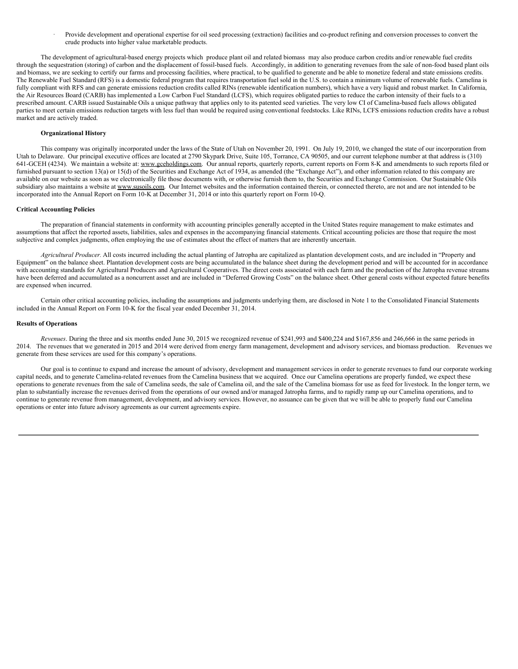Provide development and operational expertise for oil seed processing (extraction) facilities and co-product refining and conversion processes to convert the crude products into higher value marketable products.

The development of agricultural-based energy projects which produce plant oil and related biomass may also produce carbon credits and/or renewable fuel credits through the sequestration (storing) of carbon and the displacement of fossil-based fuels. Accordingly, in addition to generating revenues from the sale of non-food based plant oils and biomass, we are seeking to certify our farms and processing facilities, where practical, to be qualified to generate and be able to monetize federal and state emissions credits. The Renewable Fuel Standard (RFS) is a domestic federal program that requires transportation fuel sold in the U.S. to contain a minimum volume of renewable fuels. Camelina is fully compliant with RFS and can generate emissions reduction credits called RINs (renewable identification numbers), which have a very liquid and robust market. In California, the Air Resources Board (CARB) has implemented a Low Carbon Fuel Standard (LCFS), which requires obligated parties to reduce the carbon intensity of their fuels to a prescribed amount. CARB issued Sustainable Oils a unique pathway that applies only to its patented seed varieties. The very low CI of Camelina-based fuels allows obligated parties to meet certain emissions reduction targets with less fuel than would be required using conventional feedstocks. Like RINs, LCFS emissions reduction credits have a robust market and are actively traded.

### **Organizational History**

This company was originally incorporated under the laws of the State of Utah on November 20, 1991. On July 19, 2010, we changed the state of our incorporation from Utah to Delaware. Our principal executive offices are located at 2790 Skypark Drive, Suite 105, Torrance, CA 90505, and our current telephone number at that address is (310) 641-GCEH (4234). We maintain a website at: www.gceholdings.com. Our annual reports, quarterly reports, current reports on Form 8-K and amendments to such reports filed or furnished pursuant to section 13(a) or 15(d) of the Securities and Exchange Act of 1934, as amended (the "Exchange Act"), and other information related to this company are available on our website as soon as we electronically file those documents with, or otherwise furnish them to, the Securities and Exchange Commission. Our Sustainable Oils subsidiary also maintains a website at www.susoils.com. Our Internet websites and the information contained therein, or connected thereto, are not and are not intended to be incorporated into the Annual Report on Form 10-K at December 31, 2014 or into this quarterly report on Form 10-Q.

#### **Critical Accounting Policies**

The preparation of financial statements in conformity with accounting principles generally accepted in the United States require management to make estimates and assumptions that affect the reported assets, liabilities, sales and expenses in the accompanying financial statements. Critical accounting policies are those that require the most subjective and complex judgments, often employing the use of estimates about the effect of matters that are inherently uncertain.

*Agricultural Producer.* All costs incurred including the actual planting of Jatropha are capitalized as plantation development costs, and are included in "Property and Equipment" on the balance sheet. Plantation development costs are being accumulated in the balance sheet during the development period and will be accounted for in accordance with accounting standards for Agricultural Producers and Agricultural Cooperatives. The direct costs associated with each farm and the production of the Jatropha revenue streams have been deferred and accumulated as a noncurrent asset and are included in "Deferred Growing Costs" on the balance sheet. Other general costs without expected future benefits are expensed when incurred.

Certain other critical accounting policies, including the assumptions and judgments underlying them, are disclosed in Note 1 to the Consolidated Financial Statements included in the Annual Report on Form 10-K for the fiscal year ended December 31, 2014.

### **Results of Operations**

*Revenues*. During the three and six months ended June 30, 2015 we recognized revenue of \$241,993 and \$400,224 and \$167,856 and 246,666 in the same periods in 2014. The revenues that we generated in 2015 and 2014 were derived from energy farm management, development and advisory services, and biomass production. Revenues we generate from these services are used for this company's operations.

Our goal is to continue to expand and increase the amount of advisory, development and management services in order to generate revenues to fund our corporate working capital needs, and to generate Camelina-related revenues from the Camelina business that we acquired. Once our Camelina operations are properly funded, we expect these operations to generate revenues from the sale of Camelina seeds, the sale of Camelina oil, and the sale of the Camelina biomass for use as feed for livestock. In the longer term, we plan to substantially increase the revenues derived from the operations of our owned and/or managed Jatropha farms, and to rapidly ramp up our Camelina operations, and to continue to generate revenue from management, development, and advisory services. However, no assuance can be given that we will be able to properly fund our Camelina operations or enter into future advisory agreements as our current agreements expire.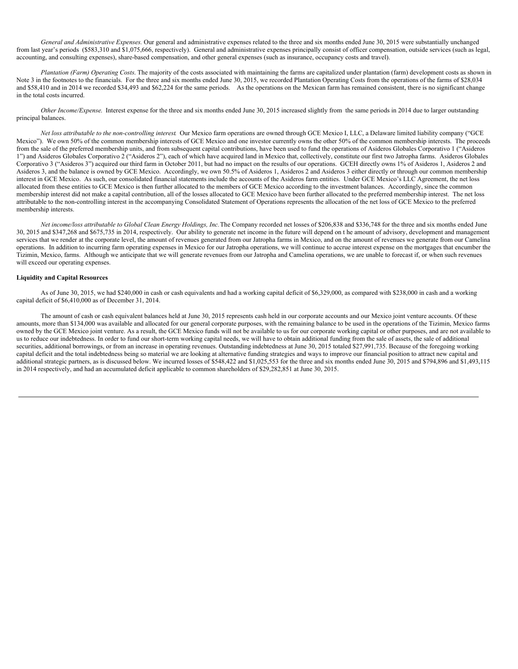*General and Administrative Expenses.* Our general and administrative expenses related to the three and six months ended June 30, 2015 were substantially unchanged from last year's periods (\$583,310 and \$1,075,666, respectively). General and administrative expenses principally consist of officer compensation, outside services (such as legal, accounting, and consulting expenses), share-based compensation, and other general expenses (such as insurance, occupancy costs and travel).

*Plantation (Farm) Operating Costs*. The majority of the costs associated with maintaining the farms are capitalized under plantation (farm) development costs as shown in Note 3 in the footnotes to the financials. For the three and six months ended June 30, 2015, we recorded Plantation Operating Costs from the operations of the farms of \$28,034 and \$58,410 and in 2014 we recorded \$34,493 and \$62,224 for the same periods. As the operations on the Mexican farm has remained consistent, there is no significant change in the total costs incurred.

*Other Income/Expense*. Interest expense for the three and six months ended June 30, 2015 increased slightly from the same periods in 2014 due to larger outstanding principal balances.

*Net loss attributable to the non-controlling interest*. Our Mexico farm operations are owned through GCE Mexico I, LLC, a Delaware limited liability company ("GCE Mexico"). We own 50% of the common membership interests of GCE Mexico and one investor currently owns the other 50% of the common membership interests. The proceeds from the sale of the preferred membership units, and from subsequent capital contributions, have been used to fund the operations of Asideros Globales Corporativo 1 ("Asideros 1") and Asideros Globales Corporativo 2 ("Asideros 2"), each of which have acquired land in Mexico that, collectively, constitute our first two Jatropha farms. Asideros Globales Corporativo 3 ("Asideros 3") acquired our third farm in October 2011, but had no impact on the results of our operations. GCEH directly owns 1% of Asideros 1, Asideros 2 and Asideros 3, and the balance is owned by GCE Mexico. Accordingly, we own 50.5% of Asideros 1, Asideros 2 and Asideros 3 either directly or through our common membership interest in GCE Mexico. As such, our consolidated financial statements include the accounts of the Asideros farm entities. Under GCE Mexico's LLC Agreement, the net loss allocated from these entities to GCE Mexico is then further allocated to the members of GCE Mexico according to the investment balances. Accordingly, since the common membership interest did not make a capital contribution, all of the losses allocated to GCE Mexico have been further allocated to the preferred membership interest. The net loss attributable to the non-controlling interest in the accompanying Consolidated Statement of Operations represents the allocation of the net loss of GCE Mexico to the preferred membership interests.

Net income/loss attributable to Global Clean Energy Holdings, Inc. The Company recorded net losses of \$206,838 and \$336,748 for the three and six months ended June 30, 2015 and \$347,268 and \$675,735 in 2014, respectively. Our ability to generate net income in the future will depend on t he amount of advisory, development and management services that we render at the corporate level, the amount of revenues generated from our Jatropha farms in Mexico, and on the amount of revenues we generate from our Camelina operations. In addition to incurring farm operating expenses in Mexico for our Jatropha operations, we will continue to accrue interest expense on the mortgages that encumber the Tizimin, Mexico, farms. Although we anticipate that we will generate revenues from our Jatropha and Camelina operations, we are unable to forecast if, or when such revenues will exceed our operating expenses.

# **Liquidity and Capital Resources**

As of June 30, 2015, we had \$240,000 in cash or cash equivalents and had a working capital deficit of \$6,329,000, as compared with \$238,000 in cash and a working capital deficit of \$6,410,000 as of December 31, 2014.

The amount of cash or cash equivalent balances held at June 30, 2015 represents cash held in our corporate accounts and our Mexico joint venture accounts. Of these amounts, more than \$134,000 was available and allocated for our general corporate purposes, with the remaining balance to be used in the operations of the Tizimin, Mexico farms owned by the GCE Mexico joint venture. As a result, the GCE Mexico funds will not be available to us for our corporate working capital or other purposes, and are not available to us to reduce our indebtedness. In order to fund our short-term working capital needs, we will have to obtain additional funding from the sale of assets, the sale of additional securities, additional borrowings, or from an increase in operating revenues. Outstanding indebtedness at June 30, 2015 totaled \$27,991,735. Because of the foregoing working capital deficit and the total indebtedness being so material we are looking at alternative funding strategies and ways to improve our financial position to attract new capital and additional strategic partners, as is discussed below. We incurred losses of \$548,422 and \$1,025,553 for the three and six months ended June 30, 2015 and \$794,896 and \$1,493,115 in 2014 respectively, and had an accumulated deficit applicable to common shareholders of \$29,282,851 at June 30, 2015.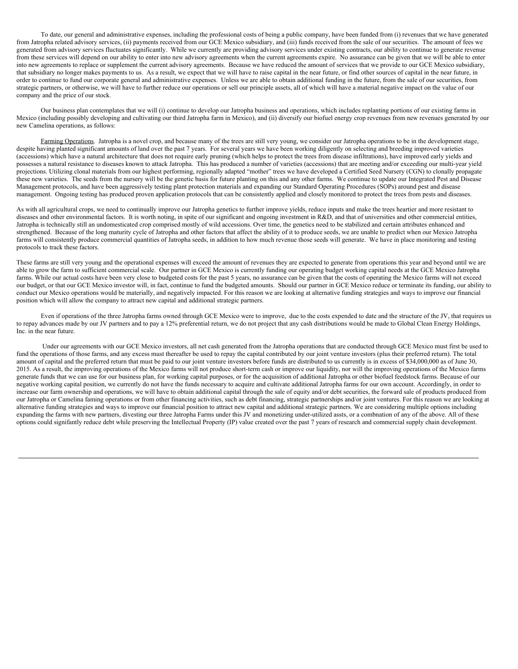To date, our general and administrative expenses, including the professional costs of being a public company, have been funded from (i) revenues that we have generated from Jatropha related advisory services, (ii) payments received from our GCE Mexico subsidiary, and (iii) funds received from the sale of our securities. The amount of fees we generated from advisory services fluctuates significantly. While we currently are providing advisory services under existing contracts, our ability to continue to generate revenue from these services will depend on our ability to enter into new advisory agreements when the current agreements expire. No assurance can be given that we will be able to enter into new agreements to replace or supplement the current advisory agreements. Because we have reduced the amount of services that we provide to our GCE Mexico subsidiary, that subsidiary no longer makes payments to us. As a result, we expect that we will have to raise capital in the near future, or find other sources of capital in the near future, in order to continue to fund our corporate general and administrative expenses. Unless we are able to obtain additional funding in the future, from the sale of our securities, from strategic partners, or otherwise, we will have to further reduce our operations or sell our principle assets, all of which will have a material negative impact on the value of our company and the price of our stock.

Our business plan contemplates that we will (i) continue to develop our Jatropha business and operations, which includes replanting portions of our existing farms in Mexico (including possibly developing and cultivating our third Jatropha farm in Mexico), and (ii) diversify our biofuel energy crop revenues from new revenues generated by our new Camelina operations, as follows:

Farming Operations. Jatropha is a novel crop, and because many of the trees are still very young, we consider our Jatropha operations to be in the development stage, despite having planted significant amounts of land over the past 7 years. For several years we have been working diligently on selecting and breeding improved varieties (accessions) which have a natural architecture that does not require early pruning (which helps to protect the trees from disease infiltrations), have improved early yields and possesses a natural resistance to diseases known to attack Jatropha. This has produced a number of varieties (accessions) that are meeting and/or exceeding our multi-year yield projections. Utilizing clonal materials from our highest performing, regionally adapted "mother" trees we have developed a Certified Seed Nursery (CGN) to clonally propagate these new varieties. The seeds from the nursery will be the genetic basis for future planting on this and any other farms. We continue to update our Integrated Pest and Disease Management protocols, and have been aggressively testing plant protection materials and expanding our Standard Operating Procedures (SOPs) around pest and disease management. Ongoing testing has produced proven application protocols that can be consistently applied and closely monitored to protect the trees from pests and diseases.

As with all agricultural crops, we need to continually improve our Jatropha genetics to further improve yields, reduce inputs and make the trees heartier and more resistant to diseases and other environmental factors. It is worth noting, in spite of our significant and ongoing investment in R&D, and that of universities and other commercial entities, Jatropha is technically still an undomesticated crop comprised mostly of wild accessions. Over time, the genetics need to be stabilized and certain attributes enhanced and strengthened. Because of the long maturity cycle of Jatropha and other factors that affect the ability of it to produce seeds, we are unable to predict when our Mexico Jatropha farms will consistently produce commercial quantities of Jatropha seeds, in addition to how much revenue those seeds will generate. We have in place monitoring and testing protocols to track these factors.

These farms are still very young and the operational expenses will exceed the amount of revenues they are expected to generate from operations this year and beyond until we are able to grow the farm to sufficient commercial scale. Our partner in GCE Mexico is currently funding our operating budget working capital needs at the GCE Mexico Jatropha farms. While our actual costs have been very close to budgeted costs for the past 5 years, no assurance can be given that the costs of operating the Mexico farms will not exceed our budget, or that our GCE Mexico investor will, in fact, continue to fund the budgeted amounts. Should our partner in GCE Mexico reduce or terminate its funding, our ability to conduct our Mexico operations would be materially, and negatively impacted. For this reason we are looking at alternative funding strategies and ways to improve our financial position which will allow the company to attract new capital and additional strategic partners.

Even if operations of the three Jatropha farms owned through GCE Mexico were to improve, due to the costs expended to date and the structure of the JV, that requires us to repay advances made by our JV partners and to pay a 12% preferential return, we do not project that any cash distributions would be made to Global Clean Energy Holdings, Inc. in the near future.

Under our agreements with our GCE Mexico investors, all net cash generated from the Jatropha operations that are conducted through GCE Mexico must first be used to fund the operations of those farms, and any excess must thereafter be used to repay the capital contributed by our joint venture investors (plus their preferred return). The total amount of capital and the preferred return that must be paid to our joint venture investors before funds are distributed to us currently is in excess of \$34,000,000 as of June 30, 2015. As a result, the improving operations of the Mexico farms will not produce short-term cash or improve our liquidity, nor will the improving operations of the Mexico farms generate funds that we can use for our business plan, for working capital purposes, or for the acquisition of additional Jatropha or other biofuel feedstock farms. Because of our negative working capital position, we currently do not have the funds necessary to acquire and cultivate additional Jatropha farms for our own account. Accordingly, in order to increase our farm ownership and operations, we will have to obtain additional capital through the sale of equity and/or debt securities, the forward sale of products produced from our Jatropha or Camelina faming operations or from other financing activities, such as debt financing, strategic partnerships and/or joint ventures. For this reason we are looking at alternative funding strategies and ways to improve our financial position to attract new capital and additional strategic partners. We are considering multiple options including expanding the farms with new partners, divesting our three Jatropha Farms under this JV and monetizing under-utilized assts, or a combnation of any of the above. All of these options could signifantly reduce debt while preserving the Intellectual Property (IP) value created over the past 7 years of research and commercial supply chain development.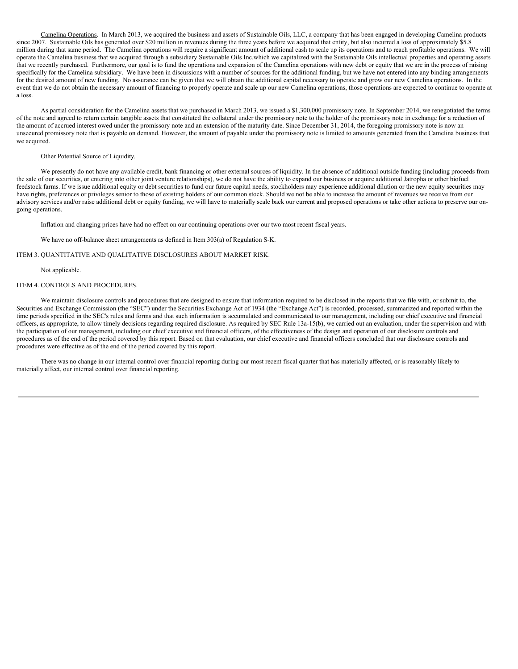Camelina Operations. In March 2013, we acquired the business and assets of Sustainable Oils, LLC, a company that has been engaged in developing Camelina products since 2007. Sustainable Oils has generated over \$20 million in revenues during the three years before we acquired that entity, but also incurred a loss of approximately \$5.8 million during that same period. The Camelina operations will require a significant amount of additional cash to scale up its operations and to reach profitable operations. We will operate the Camelina business that we acquired through a subsidiary Sustainable Oils Inc.which we capitalized with the Sustainable Oils intellectual properties and operating assets that we recently purchased. Furthermore, our goal is to fund the operations and expansion of the Camelina operations with new debt or equity that we are in the process of raising specifically for the Camelina subsidiary. We have been in discussions with a number of sources for the additional funding, but we have not entered into any binding arrangements for the desired amount of new funding. No assurance can be given that we will obtain the additional capital necessary to operate and grow our new Camelina operations. In the event that we do not obtain the necessary amount of financing to properly operate and scale up our new Camelina operations, those operations are expected to continue to operate at a loss.

As partial consideration for the Camelina assets that we purchased in March 2013, we issued a \$1,300,000 promissory note. In September 2014, we renegotiated the terms of the note and agreed to return certain tangible assets that constituted the collateral under the promissory note to the holder of the promissory note in exchange for a reduction of the amount of accrued interest owed under the promissory note and an extension of the maturity date. Since December 31, 2014, the foregoing promissory note is now an unsecured promissory note that is payable on demand. However, the amount of payable under the promissory note is limited to amounts generated from the Camelina business that we acquired.

### Other Potential Source of Liquidity.

We presently do not have any available credit, bank financing or other external sources of liquidity. In the absence of additional outside funding (including proceeds from the sale of our securities, or entering into other joint venture relationships), we do not have the ability to expand our business or acquire additional Jatropha or other biofuel feedstock farms. If we issue additional equity or debt securities to fund our future capital needs, stockholders may experience additional dilution or the new equity securities may have rights, preferences or privileges senior to those of existing holders of our common stock. Should we not be able to increase the amount of revenues we receive from our advisory services and/or raise additional debt or equity funding, we will have to materially scale back our current and proposed operations or take other actions to preserve our ongoing operations.

Inflation and changing prices have had no effect on our continuing operations over our two most recent fiscal years.

We have no off-balance sheet arrangements as defined in Item 303(a) of Regulation S-K.

#### ITEM 3. QUANTITATIVE AND QUALITATIVE DISCLOSURES ABOUT MARKET RISK.

Not applicable.

### ITEM 4. CONTROLS AND PROCEDURES.

We maintain disclosure controls and procedures that are designed to ensure that information required to be disclosed in the reports that we file with, or submit to, the Securities and Exchange Commission (the "SEC") under the Securities Exchange Act of 1934 (the "Exchange Act") is recorded, processed, summarized and reported within the time periods specified in the SEC's rules and forms and that such information is accumulated and communicated to our management, including our chief executive and financial officers, as appropriate, to allow timely decisions regarding required disclosure. As required by SEC Rule 13a-15(b), we carried out an evaluation, under the supervision and with the participation of our management, including our chief executive and financial officers, of the effectiveness of the design and operation of our disclosure controls and procedures as of the end of the period covered by this report. Based on that evaluation, our chief executive and financial officers concluded that our disclosure controls and procedures were effective as of the end of the period covered by this report.

There was no change in our internal control over financial reporting during our most recent fiscal quarter that has materially affected, or is reasonably likely to materially affect, our internal control over financial reporting.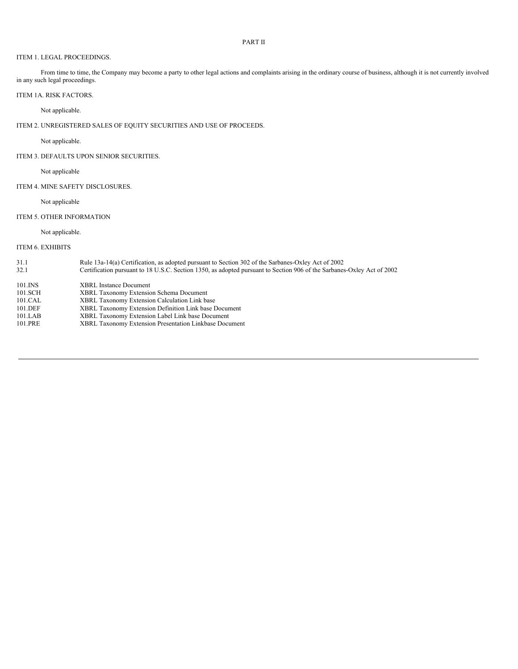# PART II

### ITEM 1. LEGAL PROCEEDINGS.

From time to time, the Company may become a party to other legal actions and complaints arising in the ordinary course of business, although it is not currently involved in any such legal proceedings.

#### ITEM 1A. RISK FACTORS.

Not applicable.

ITEM 2. UNREGISTERED SALES OF EQUITY SECURITIES AND USE OF PROCEEDS.

Not applicable.

ITEM 3. DEFAULTS UPON SENIOR SECURITIES.

Not applicable

# ITEM 4. MINE SAFETY DISCLOSURES.

Not applicable

# ITEM 5. OTHER INFORMATION

Not applicable.

ITEM 6. EXHIBITS

31.1 Rule 13a-14(a) Certification, as adopted pursuant to Section 302 of the Sarbanes-Oxley Act of 2002<br>32.1 Certification pursuant to 18 U.S.C. Section 1350, as adopted pursuant to Section 906 of the Sarbanes 32.1 Certification pursuant to 18 U.S.C. Section 1350, as adopted pursuant to Section 906 of the Sarbanes-Oxley Act of 2002

101.INS XBRL Instance Document<br>101.SCH XBRL Taxonomy Extensio 101.SCH XBRL Taxonomy Extension Schema Document<br>101.CAL XBRL Taxonomy Extension Calculation Link ba 101.CAL XBRL Taxonomy Extension Calculation Link base<br>101.DEF XBRL Taxonomy Extension Definition Link base I 101.DEF XBRL Taxonomy Extension Definition Link base Document 101.LAB XBRL Taxonomy Extension Label Link base Document<br>101.PRE XBRL Taxonomy Extension Presentation Linkbase Docu XBRL Taxonomy Extension Presentation Linkbase Document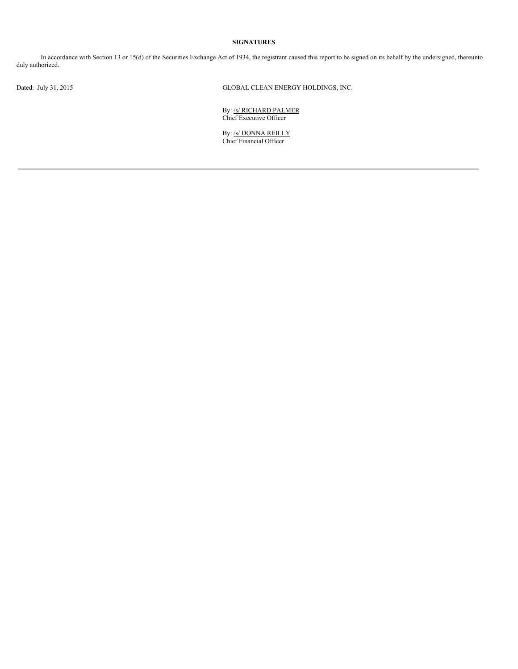# **SIGNATURES**

In accordance with Section 13 or 15(d) of the Securities Exchange Act of 1934, the registrant caused this report to be signed on its behalf by the undersigned, thereunto duly authorized.

Dated: July 31, 2015 GLOBAL CLEAN ENERGY HOLDINGS, INC.

By: /s/ RICHARD PALMER Chief Executive Officer

By: <u>/s/ DONNA REILLY</u> Chief Financial Officer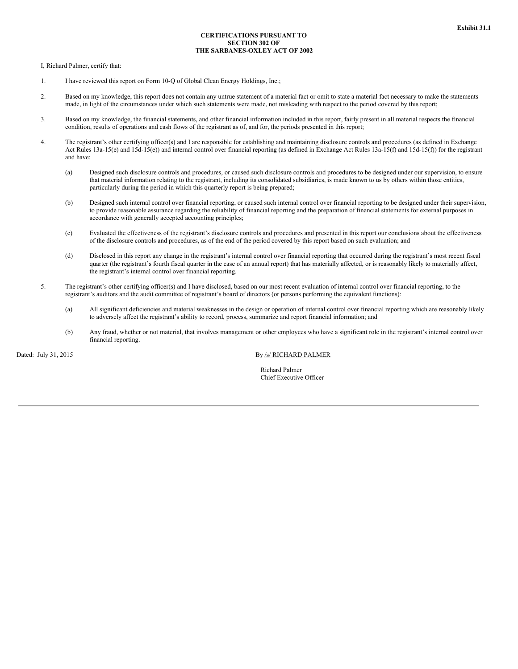### **CERTIFICATIONS PURSUANT TO SECTION 302 OF THE SARBANES-OXLEY ACT OF 2002**

I, Richard Palmer, certify that:

- 1. I have reviewed this report on Form 10-Q of Global Clean Energy Holdings, Inc.;
- 2. Based on my knowledge, this report does not contain any untrue statement of a material fact or omit to state a material fact necessary to make the statements made, in light of the circumstances under which such statements were made, not misleading with respect to the period covered by this report;
- 3. Based on my knowledge, the financial statements, and other financial information included in this report, fairly present in all material respects the financial condition, results of operations and cash flows of the registrant as of, and for, the periods presented in this report;
- 4. The registrant's other certifying officer(s) and I are responsible for establishing and maintaining disclosure controls and procedures (as defined in Exchange Act Rules 13a-15(e) and 15d-15(e)) and internal control over financial reporting (as defined in Exchange Act Rules 13a-15(f) and 15d-15(f)) for the registrant and have:
	- (a) Designed such disclosure controls and procedures, or caused such disclosure controls and procedures to be designed under our supervision, to ensure that material information relating to the registrant, including its consolidated subsidiaries, is made known to us by others within those entities, particularly during the period in which this quarterly report is being prepared;
	- (b) Designed such internal control over financial reporting, or caused such internal control over financial reporting to be designed under their supervision, to provide reasonable assurance regarding the reliability of financial reporting and the preparation of financial statements for external purposes in accordance with generally accepted accounting principles;
	- (c) Evaluated the effectiveness of the registrant's disclosure controls and procedures and presented in this report our conclusions about the effectiveness of the disclosure controls and procedures, as of the end of the period covered by this report based on such evaluation; and
	- (d) Disclosed in this report any change in the registrant's internal control over financial reporting that occurred during the registrant's most recent fiscal quarter (the registrant's fourth fiscal quarter in the case of an annual report) that has materially affected, or is reasonably likely to materially affect, the registrant's internal control over financial reporting.
- 5. The registrant's other certifying officer(s) and I have disclosed, based on our most recent evaluation of internal control over financial reporting, to the registrant's auditors and the audit committee of registrant's board of directors (or persons performing the equivalent functions):
	- (a) All significant deficiencies and material weaknesses in the design or operation of internal control over financial reporting which are reasonably likely to adversely affect the registrant's ability to record, process, summarize and report financial information; and
	- (b) Any fraud, whether or not material, that involves management or other employees who have a significant role in the registrant's internal control over financial reporting.

### Dated: July 31, 2015 By /s/ RICHARD PALMER

Richard Palmer Chief Executive Officer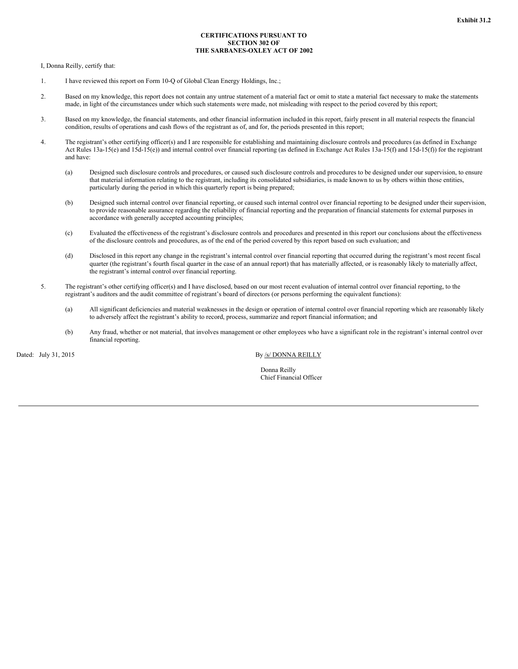### **CERTIFICATIONS PURSUANT TO SECTION 302 OF THE SARBANES-OXLEY ACT OF 2002**

I, Donna Reilly, certify that:

- 1. I have reviewed this report on Form 10-Q of Global Clean Energy Holdings, Inc.;
- 2. Based on my knowledge, this report does not contain any untrue statement of a material fact or omit to state a material fact necessary to make the statements made, in light of the circumstances under which such statements were made, not misleading with respect to the period covered by this report;
- 3. Based on my knowledge, the financial statements, and other financial information included in this report, fairly present in all material respects the financial condition, results of operations and cash flows of the registrant as of, and for, the periods presented in this report;
- 4. The registrant's other certifying officer(s) and I are responsible for establishing and maintaining disclosure controls and procedures (as defined in Exchange Act Rules 13a-15(e) and 15d-15(e)) and internal control over financial reporting (as defined in Exchange Act Rules 13a-15(f) and 15d-15(f)) for the registrant and have:
	- (a) Designed such disclosure controls and procedures, or caused such disclosure controls and procedures to be designed under our supervision, to ensure that material information relating to the registrant, including its consolidated subsidiaries, is made known to us by others within those entities, particularly during the period in which this quarterly report is being prepared;
	- (b) Designed such internal control over financial reporting, or caused such internal control over financial reporting to be designed under their supervision, to provide reasonable assurance regarding the reliability of financial reporting and the preparation of financial statements for external purposes in accordance with generally accepted accounting principles;
	- (c) Evaluated the effectiveness of the registrant's disclosure controls and procedures and presented in this report our conclusions about the effectiveness of the disclosure controls and procedures, as of the end of the period covered by this report based on such evaluation; and
	- (d) Disclosed in this report any change in the registrant's internal control over financial reporting that occurred during the registrant's most recent fiscal quarter (the registrant's fourth fiscal quarter in the case of an annual report) that has materially affected, or is reasonably likely to materially affect, the registrant's internal control over financial reporting.
- 5. The registrant's other certifying officer(s) and I have disclosed, based on our most recent evaluation of internal control over financial reporting, to the registrant's auditors and the audit committee of registrant's board of directors (or persons performing the equivalent functions):
	- (a) All significant deficiencies and material weaknesses in the design or operation of internal control over financial reporting which are reasonably likely to adversely affect the registrant's ability to record, process, summarize and report financial information; and
	- (b) Any fraud, whether or not material, that involves management or other employees who have a significant role in the registrant's internal control over financial reporting.

### Dated: July 31, 2015 By /s/ DONNA REILLY

Donna Reilly Chief Financial Officer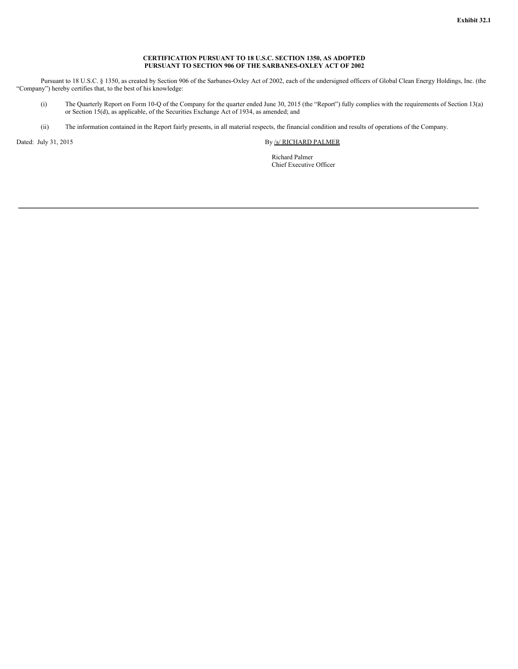### **CERTIFICATION PURSUANT TO 18 U.S.C. SECTION 1350, AS ADOPTED PURSUANT TO SECTION 906 OF THE SARBANES-OXLEY ACT OF 2002**

Pursuant to 18 U.S.C. § 1350, as created by Section 906 of the Sarbanes-Oxley Act of 2002, each of the undersigned officers of Global Clean Energy Holdings, Inc. (the "Company") hereby certifies that, to the best of his knowledge:

- (i) The Quarterly Report on Form 10-Q of the Company for the quarter ended June 30, 2015 (the "Report") fully complies with the requirements of Section 13(a) or Section 15(d), as applicable, of the Securities Exchange Act of 1934, as amended; and
- (ii) The information contained in the Report fairly presents, in all material respects, the financial condition and results of operations of the Company.

Dated: July 31, 2015 By /s/ RICHARD PALMER

Richard Palmer Chief Executive Officer